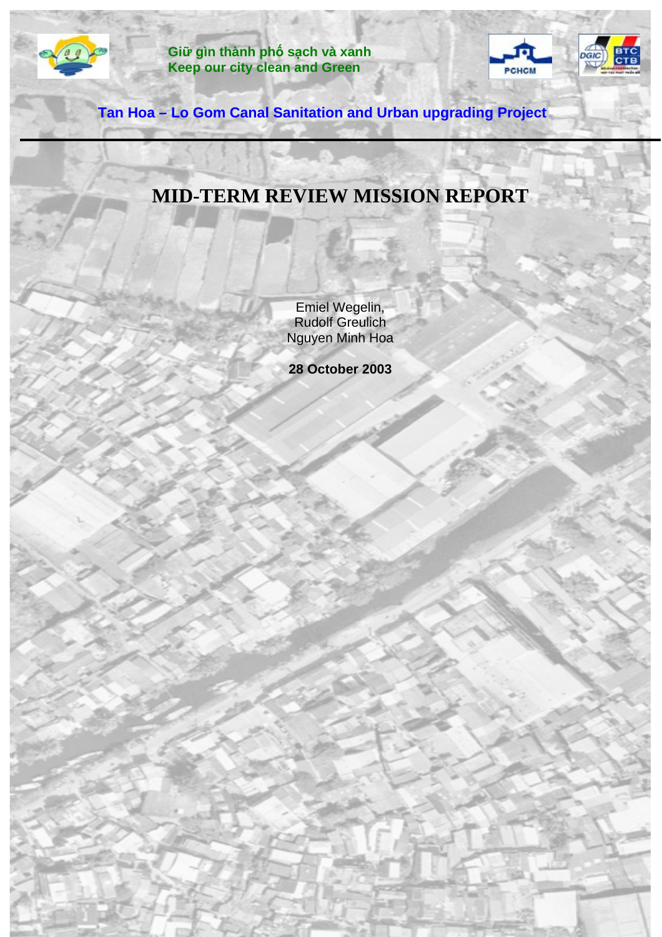

**Giữ gìn thành phố sạch và xanh Keep our city clean and Green**



**Tan Hoa – Lo Gom Canal Sanitation and Urban upgrading Project**

# **MID-TERM REVIEW MISSION REPORT**

Emiel Wegelin, Rudolf Greulich Nguyen Minh Hoa

**28 October 2003**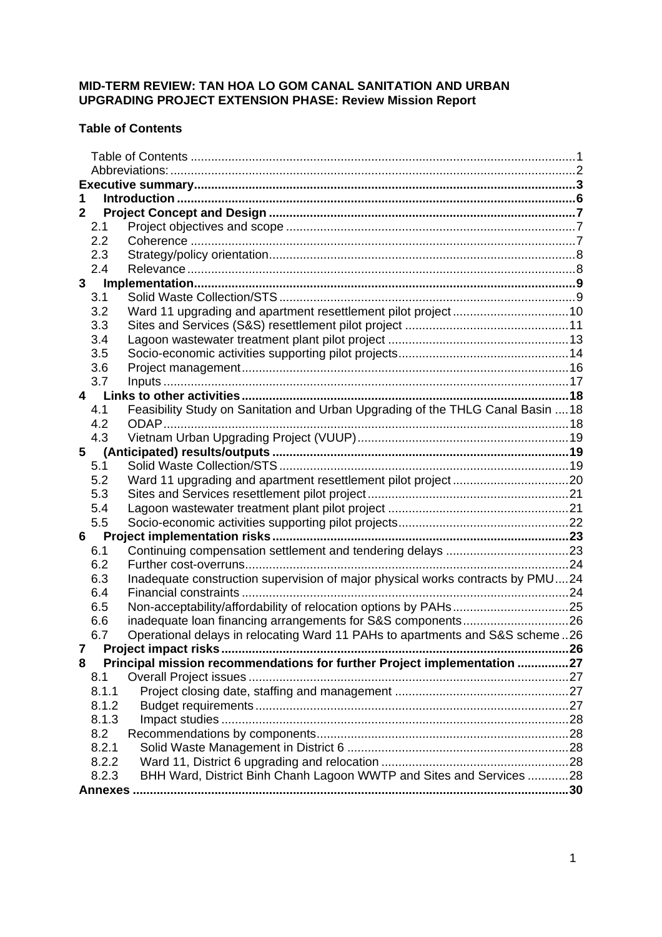# <span id="page-1-0"></span>**MID-TERM REVIEW: TAN HOA LO GOM CANAL SANITATION AND URBAN UPGRADING PROJECT EXTENSION PHASE: Review Mission Report**

# **Table of Contents**

| $\mathbf{2}$ |       |                                                                                 |     |  |  |
|--------------|-------|---------------------------------------------------------------------------------|-----|--|--|
|              | 2.1   |                                                                                 |     |  |  |
|              | 2.2   |                                                                                 |     |  |  |
|              | 2.3   |                                                                                 |     |  |  |
|              | 2.4   |                                                                                 |     |  |  |
|              | 3     |                                                                                 |     |  |  |
|              | 3.1   |                                                                                 |     |  |  |
|              | 3.2   |                                                                                 |     |  |  |
|              | 3.3   |                                                                                 |     |  |  |
|              | 3.4   |                                                                                 |     |  |  |
|              | 3.5   |                                                                                 |     |  |  |
|              | 3.6   |                                                                                 |     |  |  |
|              | 3.7   |                                                                                 |     |  |  |
|              |       |                                                                                 |     |  |  |
|              | 4.1   | Feasibility Study on Sanitation and Urban Upgrading of the THLG Canal Basin  18 |     |  |  |
|              | 4.2   | ODAP                                                                            |     |  |  |
|              | 4.3   |                                                                                 |     |  |  |
| 5            |       |                                                                                 |     |  |  |
|              | 5.1   |                                                                                 |     |  |  |
|              | 5.2   |                                                                                 |     |  |  |
|              | 5.3   |                                                                                 |     |  |  |
|              | 5.4   |                                                                                 |     |  |  |
|              | 5.5   |                                                                                 |     |  |  |
| 6            |       |                                                                                 |     |  |  |
|              | 6.1   |                                                                                 |     |  |  |
|              | 6.2   |                                                                                 |     |  |  |
|              | 6.3   | Inadequate construction supervision of major physical works contracts by PMU24  |     |  |  |
|              | 6.4   |                                                                                 |     |  |  |
|              | 6.5   |                                                                                 |     |  |  |
|              | 6.6   |                                                                                 |     |  |  |
|              | 6.7   | Operational delays in relocating Ward 11 PAHs to apartments and S&S scheme26    |     |  |  |
|              |       |                                                                                 | .26 |  |  |
| 8            |       | Principal mission recommendations for further Project implementation 27         |     |  |  |
|              | 8.1   |                                                                                 |     |  |  |
|              | 8.1.1 |                                                                                 |     |  |  |
|              | 8.1.2 |                                                                                 |     |  |  |
|              | 8.1.3 |                                                                                 |     |  |  |
|              | 8.2   |                                                                                 |     |  |  |
|              | 8.2.1 |                                                                                 |     |  |  |
|              | 8.2.2 |                                                                                 |     |  |  |
|              | 8.2.3 | BHH Ward, District Binh Chanh Lagoon WWTP and Sites and Services 28             |     |  |  |
|              |       |                                                                                 |     |  |  |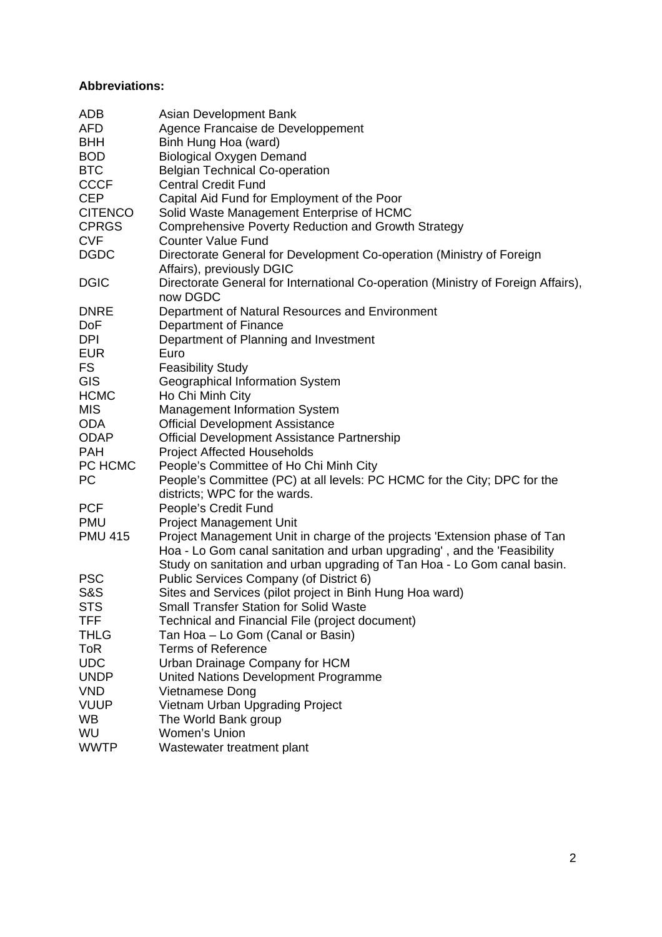# <span id="page-2-0"></span>**Abbreviations:**

| ADB            | Asian Development Bank                                                            |
|----------------|-----------------------------------------------------------------------------------|
| <b>AFD</b>     | Agence Francaise de Developpement                                                 |
| <b>BHH</b>     | Binh Hung Hoa (ward)                                                              |
| <b>BOD</b>     | <b>Biological Oxygen Demand</b>                                                   |
| <b>BTC</b>     | <b>Belgian Technical Co-operation</b>                                             |
| <b>CCCF</b>    | <b>Central Credit Fund</b>                                                        |
| <b>CEP</b>     | Capital Aid Fund for Employment of the Poor                                       |
| <b>CITENCO</b> | Solid Waste Management Enterprise of HCMC                                         |
| <b>CPRGS</b>   | <b>Comprehensive Poverty Reduction and Growth Strategy</b>                        |
| <b>CVF</b>     | <b>Counter Value Fund</b>                                                         |
| <b>DGDC</b>    | Directorate General for Development Co-operation (Ministry of Foreign             |
|                | Affairs), previously DGIC                                                         |
| <b>DGIC</b>    | Directorate General for International Co-operation (Ministry of Foreign Affairs), |
|                | now DGDC                                                                          |
| <b>DNRE</b>    | Department of Natural Resources and Environment                                   |
| DoF            | Department of Finance                                                             |
| <b>DPI</b>     | Department of Planning and Investment                                             |
| <b>EUR</b>     | Euro                                                                              |
| <b>FS</b>      | <b>Feasibility Study</b>                                                          |
| <b>GIS</b>     | Geographical Information System                                                   |
| <b>HCMC</b>    | Ho Chi Minh City                                                                  |
| <b>MIS</b>     | <b>Management Information System</b>                                              |
| <b>ODA</b>     | <b>Official Development Assistance</b>                                            |
| <b>ODAP</b>    | Official Development Assistance Partnership                                       |
| <b>PAH</b>     | <b>Project Affected Households</b>                                                |
| PC HCMC        | People's Committee of Ho Chi Minh City                                            |
| PC             | People's Committee (PC) at all levels: PC HCMC for the City; DPC for the          |
|                | districts; WPC for the wards.                                                     |
| <b>PCF</b>     | People's Credit Fund                                                              |
| <b>PMU</b>     | <b>Project Management Unit</b>                                                    |
| <b>PMU 415</b> | Project Management Unit in charge of the projects 'Extension phase of Tan         |
|                | Hoa - Lo Gom canal sanitation and urban upgrading', and the 'Feasibility          |
|                | Study on sanitation and urban upgrading of Tan Hoa - Lo Gom canal basin.          |
| <b>PSC</b>     | Public Services Company (of District 6)                                           |
| <b>S&amp;S</b> | Sites and Services (pilot project in Binh Hung Hoa ward)                          |
| <b>STS</b>     | Small Transfer Station for Solid Waste                                            |
| <b>TFF</b>     | Technical and Financial File (project document)                                   |
| <b>THLG</b>    | Tan Hoa - Lo Gom (Canal or Basin)                                                 |
| <b>ToR</b>     | <b>Terms of Reference</b>                                                         |
| <b>UDC</b>     | Urban Drainage Company for HCM                                                    |
| <b>UNDP</b>    | United Nations Development Programme                                              |
| <b>VND</b>     | Vietnamese Dong                                                                   |
| <b>VUUP</b>    | Vietnam Urban Upgrading Project                                                   |
| <b>WB</b>      | The World Bank group                                                              |
| WU             | Women's Union                                                                     |
| <b>WWTP</b>    | Wastewater treatment plant                                                        |
|                |                                                                                   |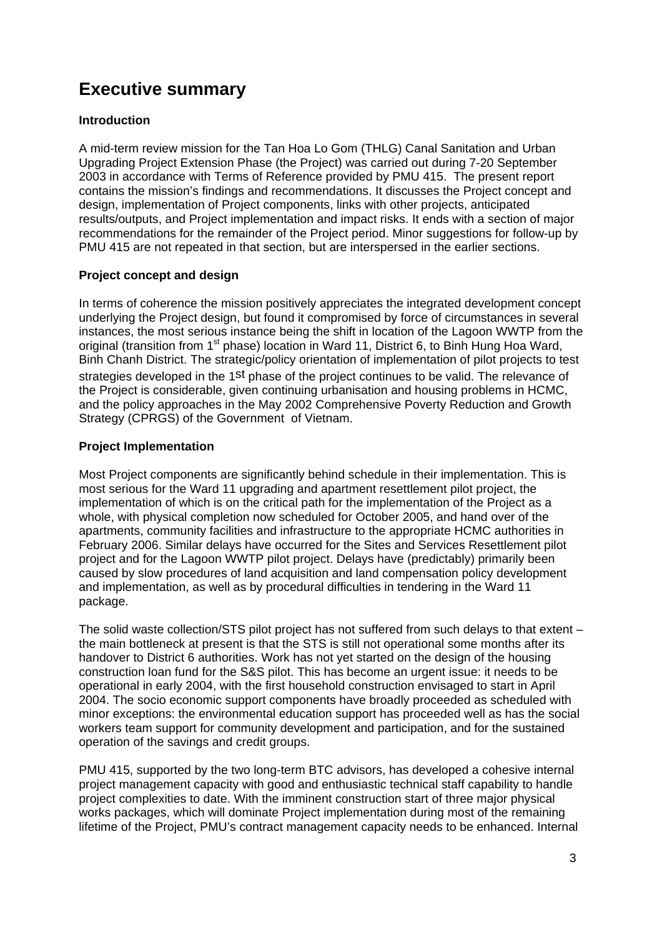# <span id="page-3-0"></span>**Executive summary**

# **Introduction**

A mid-term review mission for the Tan Hoa Lo Gom (THLG) Canal Sanitation and Urban Upgrading Project Extension Phase (the Project) was carried out during 7-20 September 2003 in accordance with Terms of Reference provided by PMU 415. The present report contains the mission's findings and recommendations. It discusses the Project concept and design, implementation of Project components, links with other projects, anticipated results/outputs, and Project implementation and impact risks. It ends with a section of major recommendations for the remainder of the Project period. Minor suggestions for follow-up by PMU 415 are not repeated in that section, but are interspersed in the earlier sections.

# **Project concept and design**

In terms of coherence the mission positively appreciates the integrated development concept underlying the Project design, but found it compromised by force of circumstances in several instances, the most serious instance being the shift in location of the Lagoon WWTP from the original (transition from  $1<sup>st</sup>$  phase) location in Ward 11, District 6, to Binh Hung Hoa Ward, Binh Chanh District. The strategic/policy orientation of implementation of pilot projects to test strategies developed in the 1st phase of the project continues to be valid. The relevance of the Project is considerable, given continuing urbanisation and housing problems in HCMC, and the policy approaches in the May 2002 Comprehensive Poverty Reduction and Growth Strategy (CPRGS) of the Government of Vietnam.

# **Project Implementation**

Most Project components are significantly behind schedule in their implementation. This is most serious for the Ward 11 upgrading and apartment resettlement pilot project, the implementation of which is on the critical path for the implementation of the Project as a whole, with physical completion now scheduled for October 2005, and hand over of the apartments, community facilities and infrastructure to the appropriate HCMC authorities in February 2006. Similar delays have occurred for the Sites and Services Resettlement pilot project and for the Lagoon WWTP pilot project. Delays have (predictably) primarily been caused by slow procedures of land acquisition and land compensation policy development and implementation, as well as by procedural difficulties in tendering in the Ward 11 package.

The solid waste collection/STS pilot project has not suffered from such delays to that extent – the main bottleneck at present is that the STS is still not operational some months after its handover to District 6 authorities. Work has not yet started on the design of the housing construction loan fund for the S&S pilot. This has become an urgent issue: it needs to be operational in early 2004, with the first household construction envisaged to start in April 2004. The socio economic support components have broadly proceeded as scheduled with minor exceptions: the environmental education support has proceeded well as has the social workers team support for community development and participation, and for the sustained operation of the savings and credit groups.

PMU 415, supported by the two long-term BTC advisors, has developed a cohesive internal project management capacity with good and enthusiastic technical staff capability to handle project complexities to date. With the imminent construction start of three major physical works packages, which will dominate Project implementation during most of the remaining lifetime of the Project, PMU's contract management capacity needs to be enhanced. Internal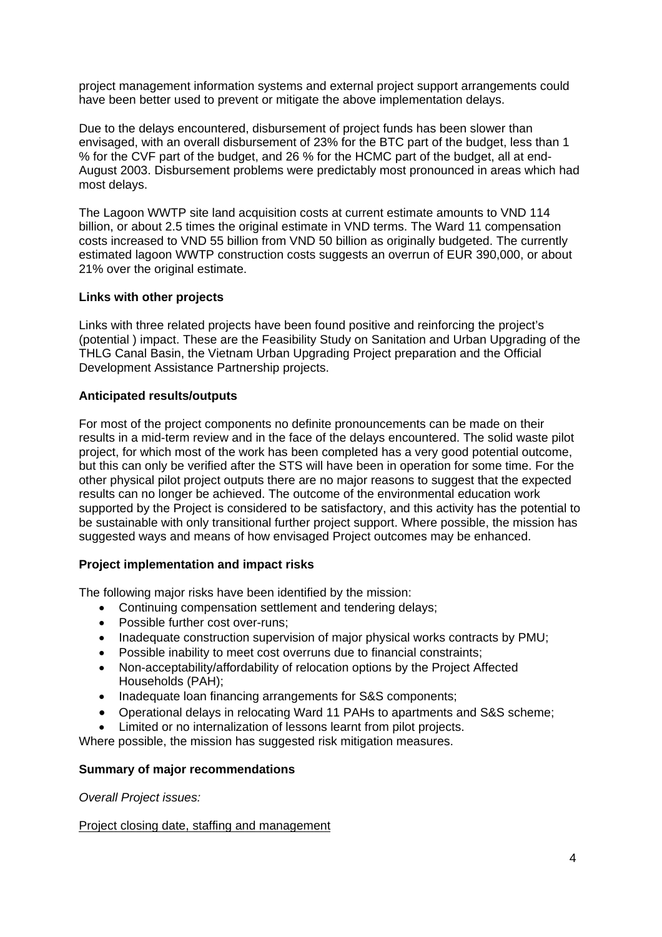project management information systems and external project support arrangements could have been better used to prevent or mitigate the above implementation delays.

Due to the delays encountered, disbursement of project funds has been slower than envisaged, with an overall disbursement of 23% for the BTC part of the budget, less than 1 % for the CVF part of the budget, and 26 % for the HCMC part of the budget, all at end-August 2003. Disbursement problems were predictably most pronounced in areas which had most delays.

The Lagoon WWTP site land acquisition costs at current estimate amounts to VND 114 billion, or about 2.5 times the original estimate in VND terms. The Ward 11 compensation costs increased to VND 55 billion from VND 50 billion as originally budgeted. The currently estimated lagoon WWTP construction costs suggests an overrun of EUR 390,000, or about 21% over the original estimate.

# **Links with other projects**

Links with three related projects have been found positive and reinforcing the project's (potential ) impact. These are the Feasibility Study on Sanitation and Urban Upgrading of the THLG Canal Basin, the Vietnam Urban Upgrading Project preparation and the Official Development Assistance Partnership projects.

# **Anticipated results/outputs**

For most of the project components no definite pronouncements can be made on their results in a mid-term review and in the face of the delays encountered. The solid waste pilot project, for which most of the work has been completed has a very good potential outcome, but this can only be verified after the STS will have been in operation for some time. For the other physical pilot project outputs there are no major reasons to suggest that the expected results can no longer be achieved. The outcome of the environmental education work supported by the Project is considered to be satisfactory, and this activity has the potential to be sustainable with only transitional further project support. Where possible, the mission has suggested ways and means of how envisaged Project outcomes may be enhanced.

# **Project implementation and impact risks**

The following major risks have been identified by the mission:

- Continuing compensation settlement and tendering delays;
- Possible further cost over-runs;
- Inadequate construction supervision of major physical works contracts by PMU;
- Possible inability to meet cost overruns due to financial constraints;
- Non-acceptability/affordability of relocation options by the Project Affected Households (PAH);
- Inadequate loan financing arrangements for S&S components;
- Operational delays in relocating Ward 11 PAHs to apartments and S&S scheme;
- Limited or no internalization of lessons learnt from pilot projects.

Where possible, the mission has suggested risk mitigation measures.

### **Summary of major recommendations**

*Overall Project issues:* 

### Project closing date, staffing and management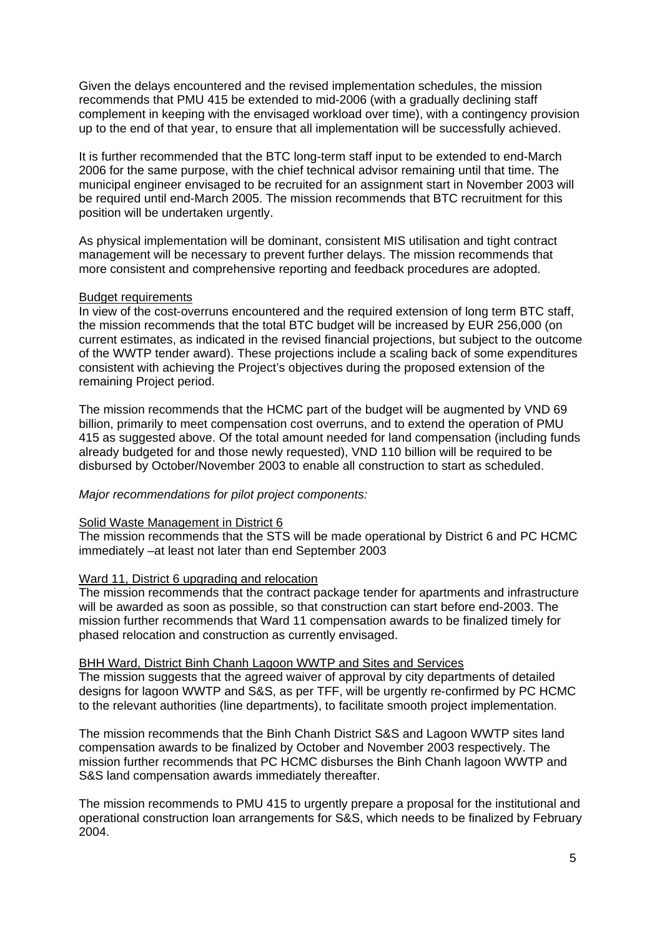Given the delays encountered and the revised implementation schedules, the mission recommends that PMU 415 be extended to mid-2006 (with a gradually declining staff complement in keeping with the envisaged workload over time), with a contingency provision up to the end of that year, to ensure that all implementation will be successfully achieved.

It is further recommended that the BTC long-term staff input to be extended to end-March 2006 for the same purpose, with the chief technical advisor remaining until that time. The municipal engineer envisaged to be recruited for an assignment start in November 2003 will be required until end-March 2005. The mission recommends that BTC recruitment for this position will be undertaken urgently.

As physical implementation will be dominant, consistent MIS utilisation and tight contract management will be necessary to prevent further delays. The mission recommends that more consistent and comprehensive reporting and feedback procedures are adopted.

#### Budget requirements

In view of the cost-overruns encountered and the required extension of long term BTC staff, the mission recommends that the total BTC budget will be increased by EUR 256,000 (on current estimates, as indicated in the revised financial projections, but subject to the outcome of the WWTP tender award). These projections include a scaling back of some expenditures consistent with achieving the Project's objectives during the proposed extension of the remaining Project period.

The mission recommends that the HCMC part of the budget will be augmented by VND 69 billion, primarily to meet compensation cost overruns, and to extend the operation of PMU 415 as suggested above. Of the total amount needed for land compensation (including funds already budgeted for and those newly requested), VND 110 billion will be required to be disbursed by October/November 2003 to enable all construction to start as scheduled.

#### *Major recommendations for pilot project components:*

#### Solid Waste Management in District 6

The mission recommends that the STS will be made operational by District 6 and PC HCMC immediately –at least not later than end September 2003

#### Ward 11, District 6 upgrading and relocation

The mission recommends that the contract package tender for apartments and infrastructure will be awarded as soon as possible, so that construction can start before end-2003. The mission further recommends that Ward 11 compensation awards to be finalized timely for phased relocation and construction as currently envisaged.

#### BHH Ward, District Binh Chanh Lagoon WWTP and Sites and Services

The mission suggests that the agreed waiver of approval by city departments of detailed designs for lagoon WWTP and S&S, as per TFF, will be urgently re-confirmed by PC HCMC to the relevant authorities (line departments), to facilitate smooth project implementation.

The mission recommends that the Binh Chanh District S&S and Lagoon WWTP sites land compensation awards to be finalized by October and November 2003 respectively. The mission further recommends that PC HCMC disburses the Binh Chanh lagoon WWTP and S&S land compensation awards immediately thereafter.

The mission recommends to PMU 415 to urgently prepare a proposal for the institutional and operational construction loan arrangements for S&S, which needs to be finalized by February 2004.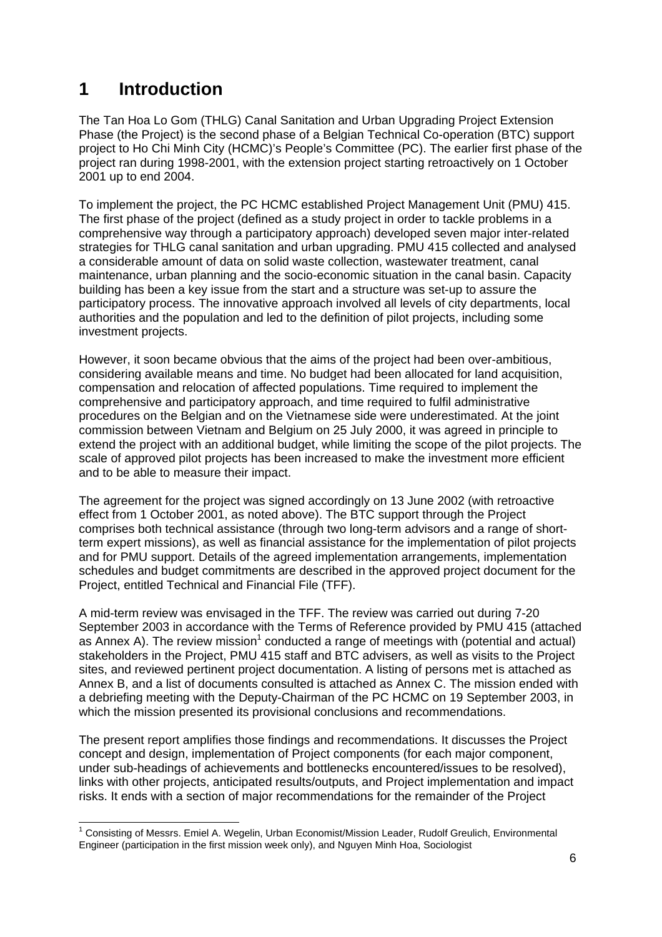# <span id="page-6-0"></span>**1 Introduction**

The Tan Hoa Lo Gom (THLG) Canal Sanitation and Urban Upgrading Project Extension Phase (the Project) is the second phase of a Belgian Technical Co-operation (BTC) support project to Ho Chi Minh City (HCMC)'s People's Committee (PC). The earlier first phase of the project ran during 1998-2001, with the extension project starting retroactively on 1 October 2001 up to end 2004.

To implement the project, the PC HCMC established Project Management Unit (PMU) 415. The first phase of the project (defined as a study project in order to tackle problems in a comprehensive way through a participatory approach) developed seven major inter-related strategies for THLG canal sanitation and urban upgrading. PMU 415 collected and analysed a considerable amount of data on solid waste collection, wastewater treatment, canal maintenance, urban planning and the socio-economic situation in the canal basin. Capacity building has been a key issue from the start and a structure was set-up to assure the participatory process. The innovative approach involved all levels of city departments, local authorities and the population and led to the definition of pilot projects, including some investment projects.

However, it soon became obvious that the aims of the project had been over-ambitious, considering available means and time. No budget had been allocated for land acquisition, compensation and relocation of affected populations. Time required to implement the comprehensive and participatory approach, and time required to fulfil administrative procedures on the Belgian and on the Vietnamese side were underestimated. At the joint commission between Vietnam and Belgium on 25 July 2000, it was agreed in principle to extend the project with an additional budget, while limiting the scope of the pilot projects. The scale of approved pilot projects has been increased to make the investment more efficient and to be able to measure their impact.

The agreement for the project was signed accordingly on 13 June 2002 (with retroactive effect from 1 October 2001, as noted above). The BTC support through the Project comprises both technical assistance (through two long-term advisors and a range of shortterm expert missions), as well as financial assistance for the implementation of pilot projects and for PMU support. Details of the agreed implementation arrangements, implementation schedules and budget commitments are described in the approved project document for the Project, entitled Technical and Financial File (TFF).

A mid-term review was envisaged in the TFF. The review was carried out during 7-20 September 2003 in accordance with the Terms of Reference provided by PMU 415 (attached as Annex A). The review mission<sup>[1](#page-6-1)</sup> conducted a range of meetings with (potential and actual) stakeholders in the Project, PMU 415 staff and BTC advisers, as well as visits to the Project sites, and reviewed pertinent project documentation. A listing of persons met is attached as Annex B, and a list of documents consulted is attached as Annex C. The mission ended with a debriefing meeting with the Deputy-Chairman of the PC HCMC on 19 September 2003, in which the mission presented its provisional conclusions and recommendations.

The present report amplifies those findings and recommendations. It discusses the Project concept and design, implementation of Project components (for each major component, under sub-headings of achievements and bottlenecks encountered/issues to be resolved), links with other projects, anticipated results/outputs, and Project implementation and impact risks. It ends with a section of major recommendations for the remainder of the Project

<span id="page-6-1"></span> <sup>1</sup> Consisting of Messrs. Emiel A. Wegelin, Urban Economist/Mission Leader, Rudolf Greulich, Environmental Engineer (participation in the first mission week only), and Nguyen Minh Hoa, Sociologist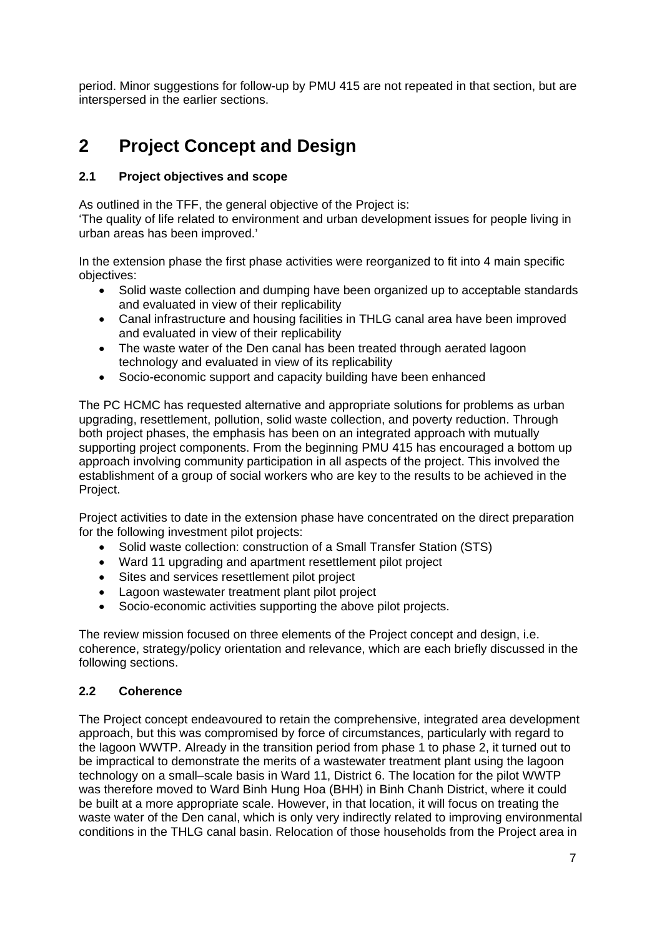<span id="page-7-0"></span>period. Minor suggestions for follow-up by PMU 415 are not repeated in that section, but are interspersed in the earlier sections.

# **2 Project Concept and Design**

# **2.1 Project objectives and scope**

As outlined in the TFF, the general objective of the Project is:

'The quality of life related to environment and urban development issues for people living in urban areas has been improved.'

In the extension phase the first phase activities were reorganized to fit into 4 main specific objectives:

- Solid waste collection and dumping have been organized up to acceptable standards and evaluated in view of their replicability
- Canal infrastructure and housing facilities in THLG canal area have been improved and evaluated in view of their replicability
- The waste water of the Den canal has been treated through aerated lagoon technology and evaluated in view of its replicability
- Socio-economic support and capacity building have been enhanced

The PC HCMC has requested alternative and appropriate solutions for problems as urban upgrading, resettlement, pollution, solid waste collection, and poverty reduction. Through both project phases, the emphasis has been on an integrated approach with mutually supporting project components. From the beginning PMU 415 has encouraged a bottom up approach involving community participation in all aspects of the project. This involved the establishment of a group of social workers who are key to the results to be achieved in the Project.

Project activities to date in the extension phase have concentrated on the direct preparation for the following investment pilot projects:

- Solid waste collection: construction of a Small Transfer Station (STS)
- Ward 11 upgrading and apartment resettlement pilot project
- Sites and services resettlement pilot project
- Lagoon wastewater treatment plant pilot project
- Socio-economic activities supporting the above pilot projects.

The review mission focused on three elements of the Project concept and design, i.e. coherence, strategy/policy orientation and relevance, which are each briefly discussed in the following sections.

### **2.2 Coherence**

The Project concept endeavoured to retain the comprehensive, integrated area development approach, but this was compromised by force of circumstances, particularly with regard to the lagoon WWTP. Already in the transition period from phase 1 to phase 2, it turned out to be impractical to demonstrate the merits of a wastewater treatment plant using the lagoon technology on a small–scale basis in Ward 11, District 6. The location for the pilot WWTP was therefore moved to Ward Binh Hung Hoa (BHH) in Binh Chanh District, where it could be built at a more appropriate scale. However, in that location, it will focus on treating the waste water of the Den canal, which is only very indirectly related to improving environmental conditions in the THLG canal basin. Relocation of those households from the Project area in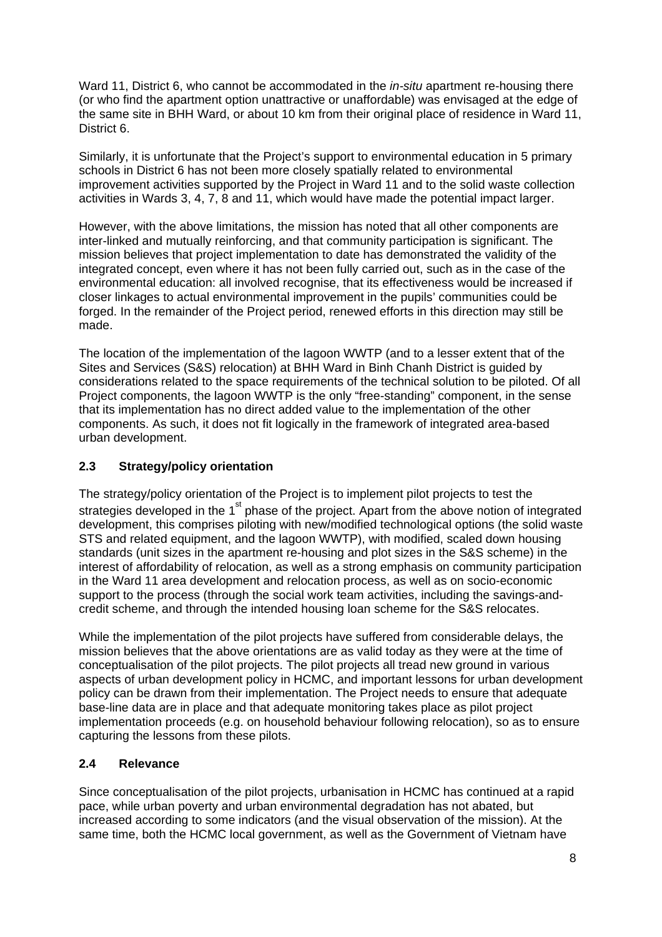<span id="page-8-0"></span>Ward 11, District 6, who cannot be accommodated in the *in-situ* apartment re-housing there (or who find the apartment option unattractive or unaffordable) was envisaged at the edge of the same site in BHH Ward, or about 10 km from their original place of residence in Ward 11, District 6.

Similarly, it is unfortunate that the Project's support to environmental education in 5 primary schools in District 6 has not been more closely spatially related to environmental improvement activities supported by the Project in Ward 11 and to the solid waste collection activities in Wards 3, 4, 7, 8 and 11, which would have made the potential impact larger.

However, with the above limitations, the mission has noted that all other components are inter-linked and mutually reinforcing, and that community participation is significant. The mission believes that project implementation to date has demonstrated the validity of the integrated concept, even where it has not been fully carried out, such as in the case of the environmental education: all involved recognise, that its effectiveness would be increased if closer linkages to actual environmental improvement in the pupils' communities could be forged. In the remainder of the Project period, renewed efforts in this direction may still be made.

The location of the implementation of the lagoon WWTP (and to a lesser extent that of the Sites and Services (S&S) relocation) at BHH Ward in Binh Chanh District is guided by considerations related to the space requirements of the technical solution to be piloted. Of all Project components, the lagoon WWTP is the only "free-standing" component, in the sense that its implementation has no direct added value to the implementation of the other components. As such, it does not fit logically in the framework of integrated area-based urban development.

# **2.3 Strategy/policy orientation**

The strategy/policy orientation of the Project is to implement pilot projects to test the strategies developed in the  $1<sup>st</sup>$  phase of the project. Apart from the above notion of integrated development, this comprises piloting with new/modified technological options (the solid waste STS and related equipment, and the lagoon WWTP), with modified, scaled down housing standards (unit sizes in the apartment re-housing and plot sizes in the S&S scheme) in the interest of affordability of relocation, as well as a strong emphasis on community participation in the Ward 11 area development and relocation process, as well as on socio-economic support to the process (through the social work team activities, including the savings-andcredit scheme, and through the intended housing loan scheme for the S&S relocates.

While the implementation of the pilot projects have suffered from considerable delays, the mission believes that the above orientations are as valid today as they were at the time of conceptualisation of the pilot projects. The pilot projects all tread new ground in various aspects of urban development policy in HCMC, and important lessons for urban development policy can be drawn from their implementation. The Project needs to ensure that adequate base-line data are in place and that adequate monitoring takes place as pilot project implementation proceeds (e.g. on household behaviour following relocation), so as to ensure capturing the lessons from these pilots.

# **2.4 Relevance**

Since conceptualisation of the pilot projects, urbanisation in HCMC has continued at a rapid pace, while urban poverty and urban environmental degradation has not abated, but increased according to some indicators (and the visual observation of the mission). At the same time, both the HCMC local government, as well as the Government of Vietnam have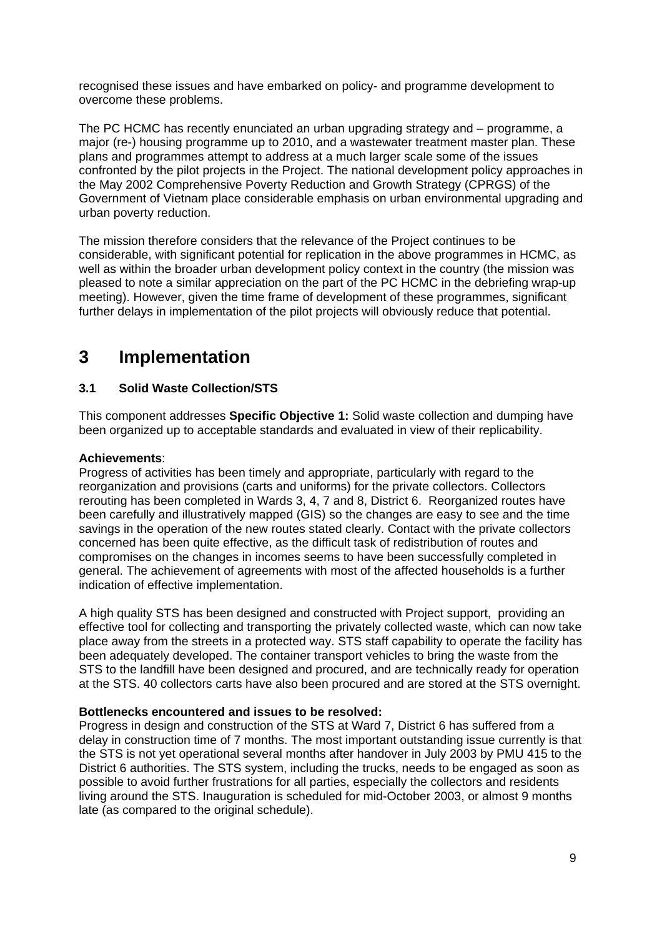<span id="page-9-0"></span>recognised these issues and have embarked on policy- and programme development to overcome these problems.

The PC HCMC has recently enunciated an urban upgrading strategy and – programme, a major (re-) housing programme up to 2010, and a wastewater treatment master plan. These plans and programmes attempt to address at a much larger scale some of the issues confronted by the pilot projects in the Project. The national development policy approaches in the May 2002 Comprehensive Poverty Reduction and Growth Strategy (CPRGS) of the Government of Vietnam place considerable emphasis on urban environmental upgrading and urban poverty reduction.

The mission therefore considers that the relevance of the Project continues to be considerable, with significant potential for replication in the above programmes in HCMC, as well as within the broader urban development policy context in the country (the mission was pleased to note a similar appreciation on the part of the PC HCMC in the debriefing wrap-up meeting). However, given the time frame of development of these programmes, significant further delays in implementation of the pilot projects will obviously reduce that potential.

# **3 Implementation**

# **3.1 Solid Waste Collection/STS**

This component addresses **Specific Objective 1:** Solid waste collection and dumping have been organized up to acceptable standards and evaluated in view of their replicability.

# **Achievements**:

Progress of activities has been timely and appropriate, particularly with regard to the reorganization and provisions (carts and uniforms) for the private collectors. Collectors rerouting has been completed in Wards 3, 4, 7 and 8, District 6. Reorganized routes have been carefully and illustratively mapped (GIS) so the changes are easy to see and the time savings in the operation of the new routes stated clearly. Contact with the private collectors concerned has been quite effective, as the difficult task of redistribution of routes and compromises on the changes in incomes seems to have been successfully completed in general. The achievement of agreements with most of the affected households is a further indication of effective implementation.

A high quality STS has been designed and constructed with Project support, providing an effective tool for collecting and transporting the privately collected waste, which can now take place away from the streets in a protected way. STS staff capability to operate the facility has been adequately developed. The container transport vehicles to bring the waste from the STS to the landfill have been designed and procured, and are technically ready for operation at the STS. 40 collectors carts have also been procured and are stored at the STS overnight.

### **Bottlenecks encountered and issues to be resolved:**

Progress in design and construction of the STS at Ward 7, District 6 has suffered from a delay in construction time of 7 months. The most important outstanding issue currently is that the STS is not yet operational several months after handover in July 2003 by PMU 415 to the District 6 authorities. The STS system, including the trucks, needs to be engaged as soon as possible to avoid further frustrations for all parties, especially the collectors and residents living around the STS. Inauguration is scheduled for mid-October 2003, or almost 9 months late (as compared to the original schedule).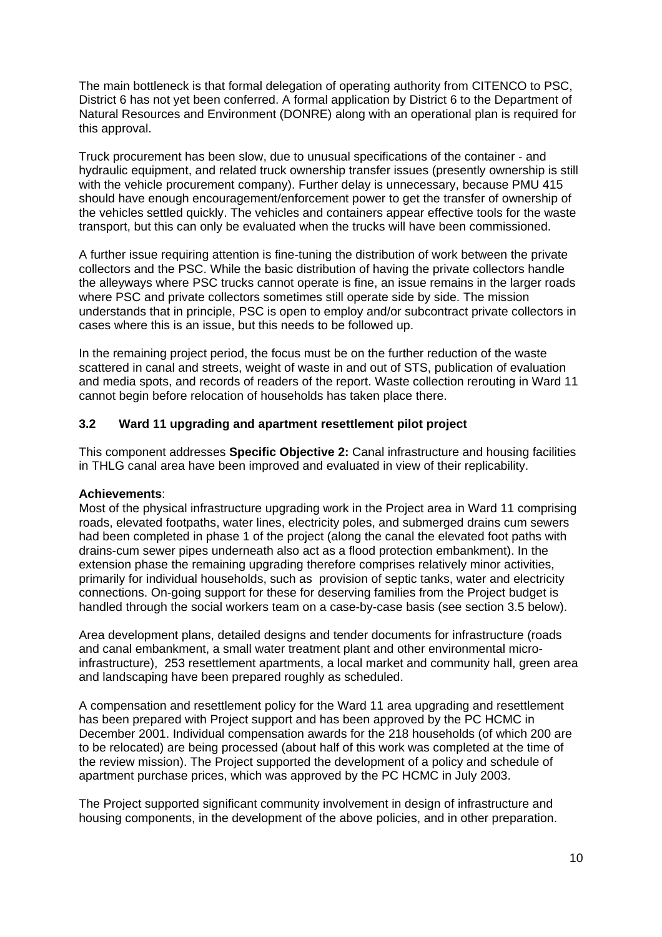<span id="page-10-0"></span>The main bottleneck is that formal delegation of operating authority from CITENCO to PSC, District 6 has not yet been conferred. A formal application by District 6 to the Department of Natural Resources and Environment (DONRE) along with an operational plan is required for this approval.

Truck procurement has been slow, due to unusual specifications of the container - and hydraulic equipment, and related truck ownership transfer issues (presently ownership is still with the vehicle procurement company). Further delay is unnecessary, because PMU 415 should have enough encouragement/enforcement power to get the transfer of ownership of the vehicles settled quickly. The vehicles and containers appear effective tools for the waste transport, but this can only be evaluated when the trucks will have been commissioned.

A further issue requiring attention is fine-tuning the distribution of work between the private collectors and the PSC. While the basic distribution of having the private collectors handle the alleyways where PSC trucks cannot operate is fine, an issue remains in the larger roads where PSC and private collectors sometimes still operate side by side. The mission understands that in principle, PSC is open to employ and/or subcontract private collectors in cases where this is an issue, but this needs to be followed up.

In the remaining project period, the focus must be on the further reduction of the waste scattered in canal and streets, weight of waste in and out of STS, publication of evaluation and media spots, and records of readers of the report. Waste collection rerouting in Ward 11 cannot begin before relocation of households has taken place there.

# **3.2 Ward 11 upgrading and apartment resettlement pilot project**

This component addresses **Specific Objective 2:** Canal infrastructure and housing facilities in THLG canal area have been improved and evaluated in view of their replicability.

#### **Achievements**:

Most of the physical infrastructure upgrading work in the Project area in Ward 11 comprising roads, elevated footpaths, water lines, electricity poles, and submerged drains cum sewers had been completed in phase 1 of the project (along the canal the elevated foot paths with drains-cum sewer pipes underneath also act as a flood protection embankment). In the extension phase the remaining upgrading therefore comprises relatively minor activities, primarily for individual households, such as provision of septic tanks, water and electricity connections. On-going support for these for deserving families from the Project budget is handled through the social workers team on a case-by-case basis (see section 3.5 below).

Area development plans, detailed designs and tender documents for infrastructure (roads and canal embankment, a small water treatment plant and other environmental microinfrastructure), 253 resettlement apartments, a local market and community hall, green area and landscaping have been prepared roughly as scheduled.

A compensation and resettlement policy for the Ward 11 area upgrading and resettlement has been prepared with Project support and has been approved by the PC HCMC in December 2001. Individual compensation awards for the 218 households (of which 200 are to be relocated) are being processed (about half of this work was completed at the time of the review mission). The Project supported the development of a policy and schedule of apartment purchase prices, which was approved by the PC HCMC in July 2003.

The Project supported significant community involvement in design of infrastructure and housing components, in the development of the above policies, and in other preparation.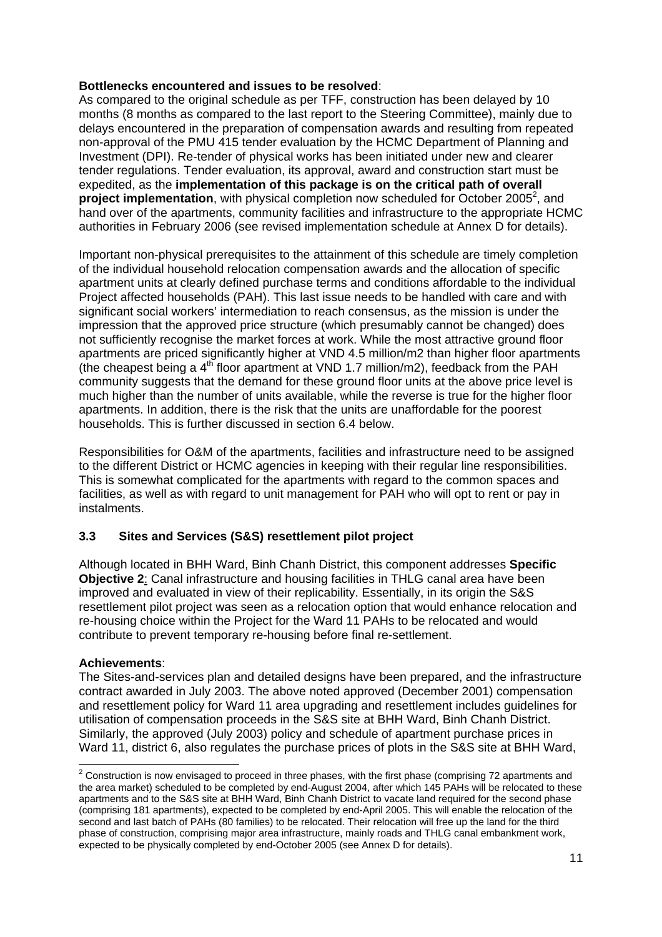## <span id="page-11-0"></span>**Bottlenecks encountered and issues to be resolved**:

As compared to the original schedule as per TFF, construction has been delayed by 10 months (8 months as compared to the last report to the Steering Committee), mainly due to delays encountered in the preparation of compensation awards and resulting from repeated non-approval of the PMU 415 tender evaluation by the HCMC Department of Planning and Investment (DPI). Re-tender of physical works has been initiated under new and clearer tender regulations. Tender evaluation, its approval, award and construction start must be expedited, as the **implementation of this package is on the critical path of overall**  project implementation, with physical completion now scheduled for October [2](#page-11-1)005<sup>2</sup>, and hand over of the apartments, community facilities and infrastructure to the appropriate HCMC authorities in February 2006 (see revised implementation schedule at Annex D for details).

Important non-physical prerequisites to the attainment of this schedule are timely completion of the individual household relocation compensation awards and the allocation of specific apartment units at clearly defined purchase terms and conditions affordable to the individual Project affected households (PAH). This last issue needs to be handled with care and with significant social workers' intermediation to reach consensus, as the mission is under the impression that the approved price structure (which presumably cannot be changed) does not sufficiently recognise the market forces at work. While the most attractive ground floor apartments are priced significantly higher at VND 4.5 million/m2 than higher floor apartments (the cheapest being a  $4<sup>th</sup>$  floor apartment at VND 1.7 million/m2), feedback from the PAH community suggests that the demand for these ground floor units at the above price level is much higher than the number of units available, while the reverse is true for the higher floor apartments. In addition, there is the risk that the units are unaffordable for the poorest households. This is further discussed in section 6.4 below.

Responsibilities for O&M of the apartments, facilities and infrastructure need to be assigned to the different District or HCMC agencies in keeping with their regular line responsibilities. This is somewhat complicated for the apartments with regard to the common spaces and facilities, as well as with regard to unit management for PAH who will opt to rent or pay in instalments.

# **3.3 Sites and Services (S&S) resettlement pilot project**

Although located in BHH Ward, Binh Chanh District, this component addresses **Specific Objective 2**: Canal infrastructure and housing facilities in THLG canal area have been improved and evaluated in view of their replicability. Essentially, in its origin the S&S resettlement pilot project was seen as a relocation option that would enhance relocation and re-housing choice within the Project for the Ward 11 PAHs to be relocated and would contribute to prevent temporary re-housing before final re-settlement.

### **Achievements**:

The Sites-and-services plan and detailed designs have been prepared, and the infrastructure contract awarded in July 2003. The above noted approved (December 2001) compensation and resettlement policy for Ward 11 area upgrading and resettlement includes guidelines for utilisation of compensation proceeds in the S&S site at BHH Ward, Binh Chanh District. Similarly, the approved (July 2003) policy and schedule of apartment purchase prices in Ward 11, district 6, also regulates the purchase prices of plots in the S&S site at BHH Ward,

<span id="page-11-1"></span> 2 Construction is now envisaged to proceed in three phases, with the first phase (comprising 72 apartments and the area market) scheduled to be completed by end-August 2004, after which 145 PAHs will be relocated to these apartments and to the S&S site at BHH Ward, Binh Chanh District to vacate land required for the second phase (comprising 181 apartments), expected to be completed by end-April 2005. This will enable the relocation of the second and last batch of PAHs (80 families) to be relocated. Their relocation will free up the land for the third phase of construction, comprising major area infrastructure, mainly roads and THLG canal embankment work, expected to be physically completed by end-October 2005 (see Annex D for details).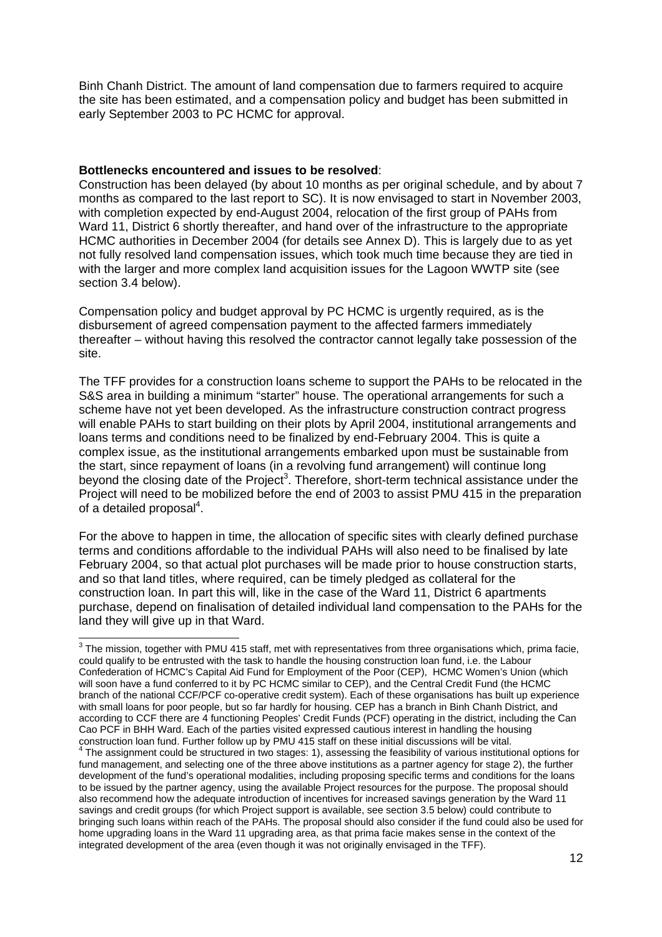Binh Chanh District. The amount of land compensation due to farmers required to acquire the site has been estimated, and a compensation policy and budget has been submitted in early September 2003 to PC HCMC for approval.

#### **Bottlenecks encountered and issues to be resolved**:

Construction has been delayed (by about 10 months as per original schedule, and by about 7 months as compared to the last report to SC). It is now envisaged to start in November 2003, with completion expected by end-August 2004, relocation of the first group of PAHs from Ward 11, District 6 shortly thereafter, and hand over of the infrastructure to the appropriate HCMC authorities in December 2004 (for details see Annex D). This is largely due to as yet not fully resolved land compensation issues, which took much time because they are tied in with the larger and more complex land acquisition issues for the Lagoon WWTP site (see section 3.4 below).

Compensation policy and budget approval by PC HCMC is urgently required, as is the disbursement of agreed compensation payment to the affected farmers immediately thereafter – without having this resolved the contractor cannot legally take possession of the site.

The TFF provides for a construction loans scheme to support the PAHs to be relocated in the S&S area in building a minimum "starter" house. The operational arrangements for such a scheme have not yet been developed. As the infrastructure construction contract progress will enable PAHs to start building on their plots by April 2004, institutional arrangements and loans terms and conditions need to be finalized by end-February 2004. This is quite a complex issue, as the institutional arrangements embarked upon must be sustainable from the start, since repayment of loans (in a revolving fund arrangement) will continue long beyond the closing date of the Project<sup>[3](#page-12-0)</sup>. Therefore, short-term technical assistance under the Project will need to be mobilized before the end of 2003 to assist PMU 415 in the preparation of a detailed proposal $4$ .

For the above to happen in time, the allocation of specific sites with clearly defined purchase terms and conditions affordable to the individual PAHs will also need to be finalised by late February 2004, so that actual plot purchases will be made prior to house construction starts, and so that land titles, where required, can be timely pledged as collateral for the construction loan. In part this will, like in the case of the Ward 11, District 6 apartments purchase, depend on finalisation of detailed individual land compensation to the PAHs for the land they will give up in that Ward.

<span id="page-12-0"></span> 3 The mission, together with PMU 415 staff, met with representatives from three organisations which, prima facie, could qualify to be entrusted with the task to handle the housing construction loan fund, i.e. the Labour Confederation of HCMC's Capital Aid Fund for Employment of the Poor (CEP), HCMC Women's Union (which will soon have a fund conferred to it by PC HCMC similar to CEP), and the Central Credit Fund (the HCMC branch of the national CCF/PCF co-operative credit system). Each of these organisations has built up experience with small loans for poor people, but so far hardly for housing. CEP has a branch in Binh Chanh District, and according to CCF there are 4 functioning Peoples' Credit Funds (PCF) operating in the district, including the Can Cao PCF in BHH Ward. Each of the parties visited expressed cautious interest in handling the housing construction loan fund. Further follow up by PMU 415 staff on these initial discussions will be vital. 4

<span id="page-12-1"></span><sup>&</sup>lt;sup>4</sup> The assignment could be structured in two stages: 1), assessing the feasibility of various institutional options for fund management, and selecting one of the three above institutions as a partner agency for stage 2), the further development of the fund's operational modalities, including proposing specific terms and conditions for the loans to be issued by the partner agency, using the available Project resources for the purpose. The proposal should also recommend how the adequate introduction of incentives for increased savings generation by the Ward 11 savings and credit groups (for which Project support is available, see section 3.5 below) could contribute to bringing such loans within reach of the PAHs. The proposal should also consider if the fund could also be used for home upgrading loans in the Ward 11 upgrading area, as that prima facie makes sense in the context of the integrated development of the area (even though it was not originally envisaged in the TFF).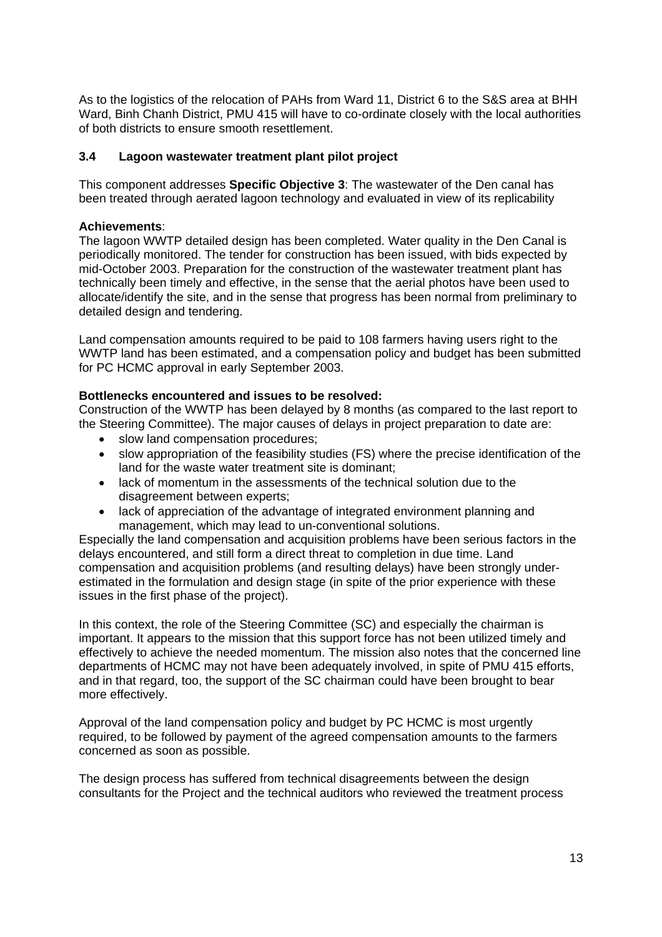<span id="page-13-0"></span>As to the logistics of the relocation of PAHs from Ward 11, District 6 to the S&S area at BHH Ward, Binh Chanh District, PMU 415 will have to co-ordinate closely with the local authorities of both districts to ensure smooth resettlement.

# **3.4 Lagoon wastewater treatment plant pilot project**

This component addresses **Specific Objective 3**: The wastewater of the Den canal has been treated through aerated lagoon technology and evaluated in view of its replicability

### **Achievements**:

The lagoon WWTP detailed design has been completed. Water quality in the Den Canal is periodically monitored. The tender for construction has been issued, with bids expected by mid-October 2003. Preparation for the construction of the wastewater treatment plant has technically been timely and effective, in the sense that the aerial photos have been used to allocate/identify the site, and in the sense that progress has been normal from preliminary to detailed design and tendering.

Land compensation amounts required to be paid to 108 farmers having users right to the WWTP land has been estimated, and a compensation policy and budget has been submitted for PC HCMC approval in early September 2003.

# **Bottlenecks encountered and issues to be resolved:**

Construction of the WWTP has been delayed by 8 months (as compared to the last report to the Steering Committee). The major causes of delays in project preparation to date are:

- slow land compensation procedures;
- slow appropriation of the feasibility studies (FS) where the precise identification of the land for the waste water treatment site is dominant;
- lack of momentum in the assessments of the technical solution due to the disagreement between experts;
- lack of appreciation of the advantage of integrated environment planning and management, which may lead to un-conventional solutions.

Especially the land compensation and acquisition problems have been serious factors in the delays encountered, and still form a direct threat to completion in due time. Land compensation and acquisition problems (and resulting delays) have been strongly underestimated in the formulation and design stage (in spite of the prior experience with these issues in the first phase of the project).

In this context, the role of the Steering Committee (SC) and especially the chairman is important. It appears to the mission that this support force has not been utilized timely and effectively to achieve the needed momentum. The mission also notes that the concerned line departments of HCMC may not have been adequately involved, in spite of PMU 415 efforts, and in that regard, too, the support of the SC chairman could have been brought to bear more effectively.

Approval of the land compensation policy and budget by PC HCMC is most urgently required, to be followed by payment of the agreed compensation amounts to the farmers concerned as soon as possible.

The design process has suffered from technical disagreements between the design consultants for the Project and the technical auditors who reviewed the treatment process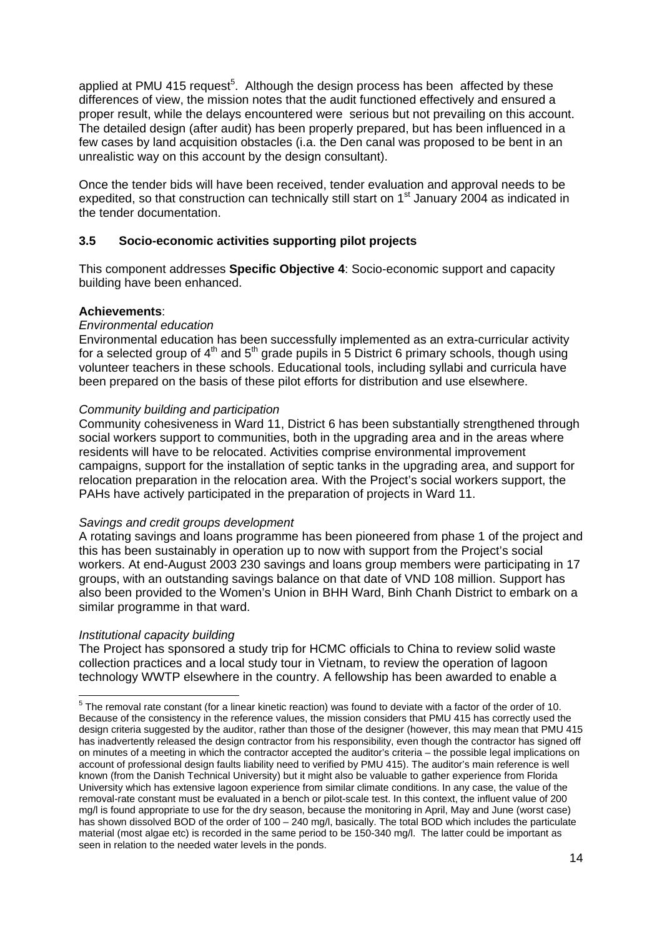<span id="page-14-0"></span>applied at PMU 41[5](#page-14-1) request<sup>5</sup>. Although the design process has been affected by these differences of view, the mission notes that the audit functioned effectively and ensured a proper result, while the delays encountered were serious but not prevailing on this account. The detailed design (after audit) has been properly prepared, but has been influenced in a few cases by land acquisition obstacles (i.a. the Den canal was proposed to be bent in an unrealistic way on this account by the design consultant).

Once the tender bids will have been received, tender evaluation and approval needs to be expedited, so that construction can technically still start on 1<sup>st</sup> January 2004 as indicated in the tender documentation.

# **3.5 Socio-economic activities supporting pilot projects**

This component addresses **Specific Objective 4**: Socio-economic support and capacity building have been enhanced.

### **Achievements**:

### *Environmental education*

Environmental education has been successfully implemented as an extra-curricular activity for a selected group of  $4<sup>th</sup>$  and  $5<sup>th</sup>$  grade pupils in 5 District 6 primary schools, though using volunteer teachers in these schools. Educational tools, including syllabi and curricula have been prepared on the basis of these pilot efforts for distribution and use elsewhere.

### *Community building and participation*

Community cohesiveness in Ward 11, District 6 has been substantially strengthened through social workers support to communities, both in the upgrading area and in the areas where residents will have to be relocated. Activities comprise environmental improvement campaigns, support for the installation of septic tanks in the upgrading area, and support for relocation preparation in the relocation area. With the Project's social workers support, the PAHs have actively participated in the preparation of projects in Ward 11.

### *Savings and credit groups development*

A rotating savings and loans programme has been pioneered from phase 1 of the project and this has been sustainably in operation up to now with support from the Project's social workers. At end-August 2003 230 savings and loans group members were participating in 17 groups, with an outstanding savings balance on that date of VND 108 million. Support has also been provided to the Women's Union in BHH Ward, Binh Chanh District to embark on a similar programme in that ward.

### *Institutional capacity building*

The Project has sponsored a study trip for HCMC officials to China to review solid waste collection practices and a local study tour in Vietnam, to review the operation of lagoon technology WWTP elsewhere in the country. A fellowship has been awarded to enable a

<span id="page-14-1"></span><sup>&</sup>lt;u>Fild the removal rate constant (for a linear kinetic reaction)</u> was found to deviate with a factor of the order of 10. Because of the consistency in the reference values, the mission considers that PMU 415 has correctly used the design criteria suggested by the auditor, rather than those of the designer (however, this may mean that PMU 415 has inadvertently released the design contractor from his responsibility, even though the contractor has signed off on minutes of a meeting in which the contractor accepted the auditor's criteria – the possible legal implications on account of professional design faults liability need to verified by PMU 415). The auditor's main reference is well known (from the Danish Technical University) but it might also be valuable to gather experience from Florida University which has extensive lagoon experience from similar climate conditions. In any case, the value of the removal-rate constant must be evaluated in a bench or pilot-scale test. In this context, the influent value of 200 mg/l is found appropriate to use for the dry season, because the monitoring in April, May and June (worst case) has shown dissolved BOD of the order of 100 – 240 mg/l, basically. The total BOD which includes the particulate material (most algae etc) is recorded in the same period to be 150-340 mg/l. The latter could be important as seen in relation to the needed water levels in the ponds.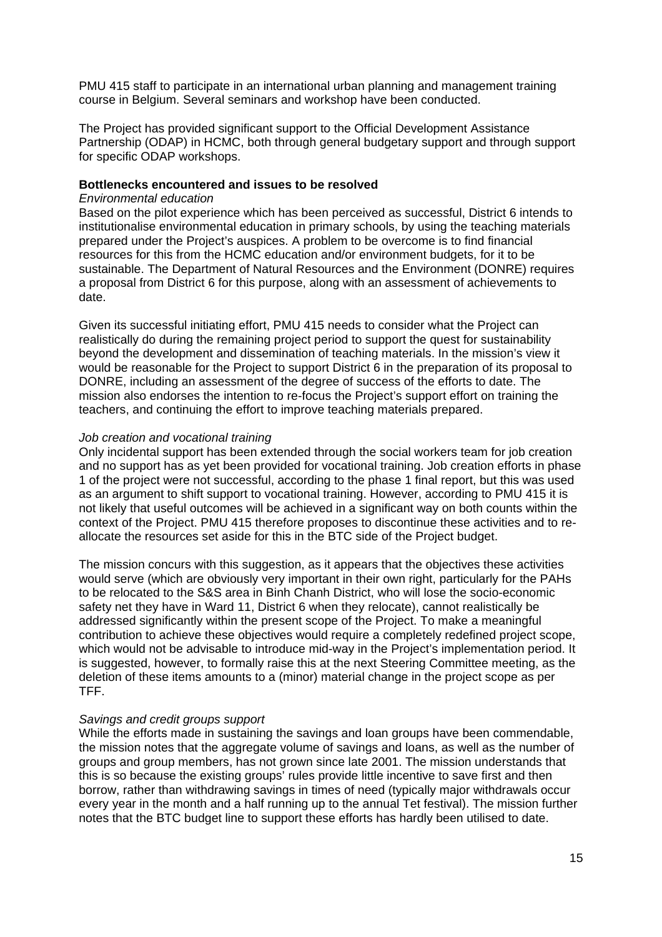PMU 415 staff to participate in an international urban planning and management training course in Belgium. Several seminars and workshop have been conducted.

The Project has provided significant support to the Official Development Assistance Partnership (ODAP) in HCMC, both through general budgetary support and through support for specific ODAP workshops.

#### **Bottlenecks encountered and issues to be resolved**

#### *Environmental education*

Based on the pilot experience which has been perceived as successful, District 6 intends to institutionalise environmental education in primary schools, by using the teaching materials prepared under the Project's auspices. A problem to be overcome is to find financial resources for this from the HCMC education and/or environment budgets, for it to be sustainable. The Department of Natural Resources and the Environment (DONRE) requires a proposal from District 6 for this purpose, along with an assessment of achievements to date.

Given its successful initiating effort, PMU 415 needs to consider what the Project can realistically do during the remaining project period to support the quest for sustainability beyond the development and dissemination of teaching materials. In the mission's view it would be reasonable for the Project to support District 6 in the preparation of its proposal to DONRE, including an assessment of the degree of success of the efforts to date. The mission also endorses the intention to re-focus the Project's support effort on training the teachers, and continuing the effort to improve teaching materials prepared.

#### *Job creation and vocational training*

Only incidental support has been extended through the social workers team for job creation and no support has as yet been provided for vocational training. Job creation efforts in phase 1 of the project were not successful, according to the phase 1 final report, but this was used as an argument to shift support to vocational training. However, according to PMU 415 it is not likely that useful outcomes will be achieved in a significant way on both counts within the context of the Project. PMU 415 therefore proposes to discontinue these activities and to reallocate the resources set aside for this in the BTC side of the Project budget.

The mission concurs with this suggestion, as it appears that the objectives these activities would serve (which are obviously very important in their own right, particularly for the PAHs to be relocated to the S&S area in Binh Chanh District, who will lose the socio-economic safety net they have in Ward 11, District 6 when they relocate), cannot realistically be addressed significantly within the present scope of the Project. To make a meaningful contribution to achieve these objectives would require a completely redefined project scope, which would not be advisable to introduce mid-way in the Project's implementation period. It is suggested, however, to formally raise this at the next Steering Committee meeting, as the deletion of these items amounts to a (minor) material change in the project scope as per TFF.

#### *Savings and credit groups support*

While the efforts made in sustaining the savings and loan groups have been commendable, the mission notes that the aggregate volume of savings and loans, as well as the number of groups and group members, has not grown since late 2001. The mission understands that this is so because the existing groups' rules provide little incentive to save first and then borrow, rather than withdrawing savings in times of need (typically major withdrawals occur every year in the month and a half running up to the annual Tet festival). The mission further notes that the BTC budget line to support these efforts has hardly been utilised to date.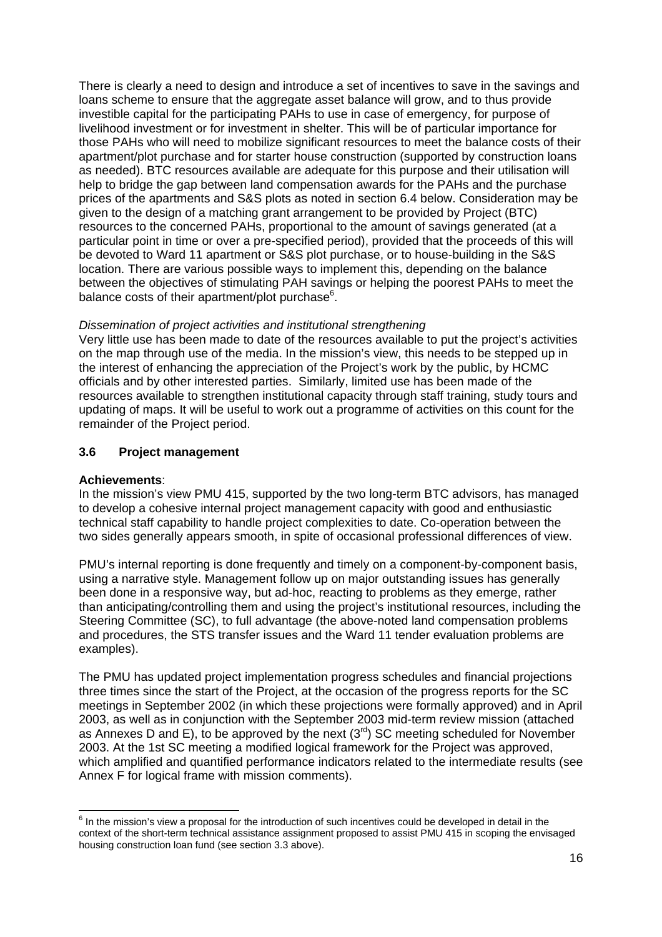<span id="page-16-0"></span>There is clearly a need to design and introduce a set of incentives to save in the savings and loans scheme to ensure that the aggregate asset balance will grow, and to thus provide investible capital for the participating PAHs to use in case of emergency, for purpose of livelihood investment or for investment in shelter. This will be of particular importance for those PAHs who will need to mobilize significant resources to meet the balance costs of their apartment/plot purchase and for starter house construction (supported by construction loans as needed). BTC resources available are adequate for this purpose and their utilisation will help to bridge the gap between land compensation awards for the PAHs and the purchase prices of the apartments and S&S plots as noted in section 6.4 below. Consideration may be given to the design of a matching grant arrangement to be provided by Project (BTC) resources to the concerned PAHs, proportional to the amount of savings generated (at a particular point in time or over a pre-specified period), provided that the proceeds of this will be devoted to Ward 11 apartment or S&S plot purchase, or to house-building in the S&S location. There are various possible ways to implement this, depending on the balance between the objectives of stimulating PAH savings or helping the poorest PAHs to meet the balance costs of their apartment/plot purchase<sup>6</sup>.

#### *Dissemination of project activities and institutional strengthening*

Very little use has been made to date of the resources available to put the project's activities on the map through use of the media. In the mission's view, this needs to be stepped up in the interest of enhancing the appreciation of the Project's work by the public, by HCMC officials and by other interested parties. Similarly, limited use has been made of the resources available to strengthen institutional capacity through staff training, study tours and updating of maps. It will be useful to work out a programme of activities on this count for the remainder of the Project period.

#### **3.6 Project management**

#### **Achievements**:

In the mission's view PMU 415, supported by the two long-term BTC advisors, has managed to develop a cohesive internal project management capacity with good and enthusiastic technical staff capability to handle project complexities to date. Co-operation between the two sides generally appears smooth, in spite of occasional professional differences of view.

PMU's internal reporting is done frequently and timely on a component-by-component basis, using a narrative style. Management follow up on major outstanding issues has generally been done in a responsive way, but ad-hoc, reacting to problems as they emerge, rather than anticipating/controlling them and using the project's institutional resources, including the Steering Committee (SC), to full advantage (the above-noted land compensation problems and procedures, the STS transfer issues and the Ward 11 tender evaluation problems are examples).

The PMU has updated project implementation progress schedules and financial projections three times since the start of the Project, at the occasion of the progress reports for the SC meetings in September 2002 (in which these projections were formally approved) and in April 2003, as well as in conjunction with the September 2003 mid-term review mission (attached as Annexes D and E), to be approved by the next  $(3<sup>rd</sup>)$  SC meeting scheduled for November 2003. At the 1st SC meeting a modified logical framework for the Project was approved, which amplified and quantified performance indicators related to the intermediate results (see Annex F for logical frame with mission comments).

<span id="page-16-1"></span> 6 In the mission's view a proposal for the introduction of such incentives could be developed in detail in the context of the short-term technical assistance assignment proposed to assist PMU 415 in scoping the envisaged housing construction loan fund (see section 3.3 above).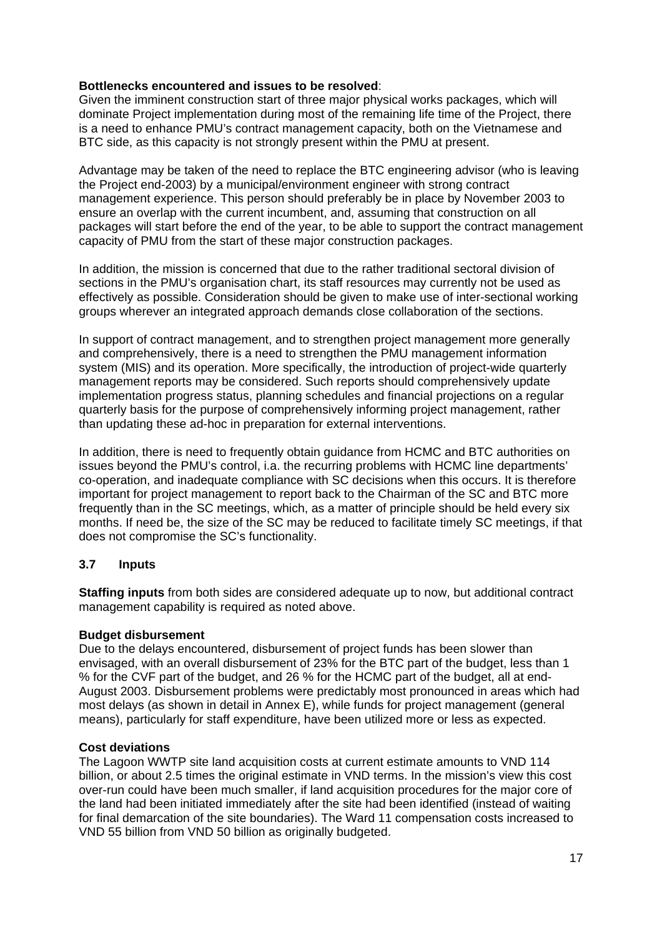## <span id="page-17-0"></span>**Bottlenecks encountered and issues to be resolved**:

Given the imminent construction start of three major physical works packages, which will dominate Project implementation during most of the remaining life time of the Project, there is a need to enhance PMU's contract management capacity, both on the Vietnamese and BTC side, as this capacity is not strongly present within the PMU at present.

Advantage may be taken of the need to replace the BTC engineering advisor (who is leaving the Project end-2003) by a municipal/environment engineer with strong contract management experience. This person should preferably be in place by November 2003 to ensure an overlap with the current incumbent, and, assuming that construction on all packages will start before the end of the year, to be able to support the contract management capacity of PMU from the start of these major construction packages.

In addition, the mission is concerned that due to the rather traditional sectoral division of sections in the PMU's organisation chart, its staff resources may currently not be used as effectively as possible. Consideration should be given to make use of inter-sectional working groups wherever an integrated approach demands close collaboration of the sections.

In support of contract management, and to strengthen project management more generally and comprehensively, there is a need to strengthen the PMU management information system (MIS) and its operation. More specifically, the introduction of project-wide quarterly management reports may be considered. Such reports should comprehensively update implementation progress status, planning schedules and financial projections on a regular quarterly basis for the purpose of comprehensively informing project management, rather than updating these ad-hoc in preparation for external interventions.

In addition, there is need to frequently obtain guidance from HCMC and BTC authorities on issues beyond the PMU's control, i.a. the recurring problems with HCMC line departments' co-operation, and inadequate compliance with SC decisions when this occurs. It is therefore important for project management to report back to the Chairman of the SC and BTC more frequently than in the SC meetings, which, as a matter of principle should be held every six months. If need be, the size of the SC may be reduced to facilitate timely SC meetings, if that does not compromise the SC's functionality.

# **3.7 Inputs**

**Staffing inputs** from both sides are considered adequate up to now, but additional contract management capability is required as noted above.

### **Budget disbursement**

Due to the delays encountered, disbursement of project funds has been slower than envisaged, with an overall disbursement of 23% for the BTC part of the budget, less than 1 % for the CVF part of the budget, and 26 % for the HCMC part of the budget, all at end-August 2003. Disbursement problems were predictably most pronounced in areas which had most delays (as shown in detail in Annex E), while funds for project management (general means), particularly for staff expenditure, have been utilized more or less as expected.

### **Cost deviations**

The Lagoon WWTP site land acquisition costs at current estimate amounts to VND 114 billion, or about 2.5 times the original estimate in VND terms. In the mission's view this cost over-run could have been much smaller, if land acquisition procedures for the major core of the land had been initiated immediately after the site had been identified (instead of waiting for final demarcation of the site boundaries). The Ward 11 compensation costs increased to VND 55 billion from VND 50 billion as originally budgeted.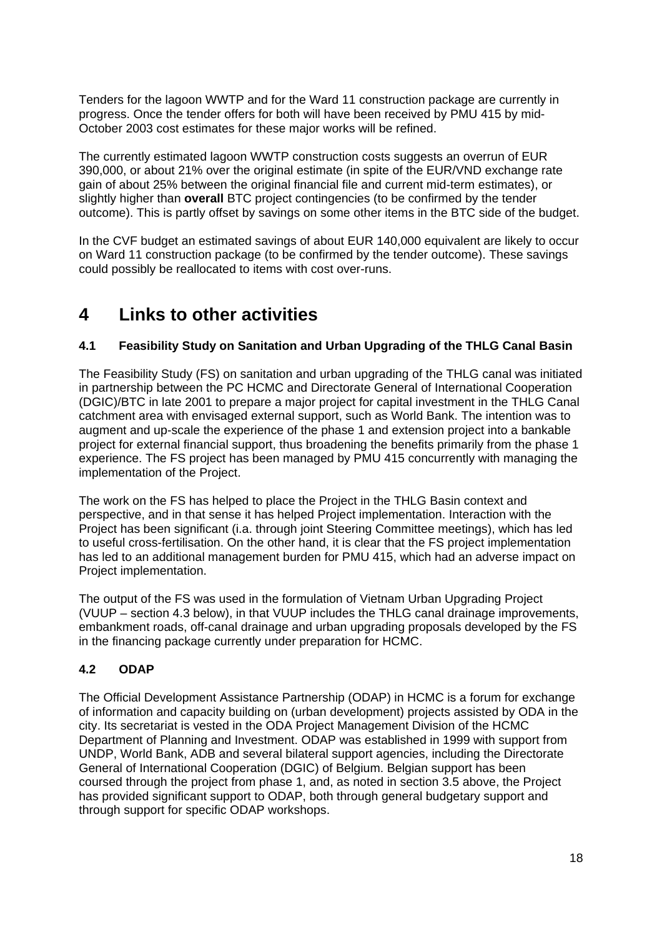<span id="page-18-0"></span>Tenders for the lagoon WWTP and for the Ward 11 construction package are currently in progress. Once the tender offers for both will have been received by PMU 415 by mid-October 2003 cost estimates for these major works will be refined.

The currently estimated lagoon WWTP construction costs suggests an overrun of EUR 390,000, or about 21% over the original estimate (in spite of the EUR/VND exchange rate gain of about 25% between the original financial file and current mid-term estimates), or slightly higher than **overall** BTC project contingencies (to be confirmed by the tender outcome). This is partly offset by savings on some other items in the BTC side of the budget.

In the CVF budget an estimated savings of about EUR 140,000 equivalent are likely to occur on Ward 11 construction package (to be confirmed by the tender outcome). These savings could possibly be reallocated to items with cost over-runs.

# **4 Links to other activities**

# **4.1 Feasibility Study on Sanitation and Urban Upgrading of the THLG Canal Basin**

The Feasibility Study (FS) on sanitation and urban upgrading of the THLG canal was initiated in partnership between the PC HCMC and Directorate General of International Cooperation (DGIC)/BTC in late 2001 to prepare a major project for capital investment in the THLG Canal catchment area with envisaged external support, such as World Bank. The intention was to augment and up-scale the experience of the phase 1 and extension project into a bankable project for external financial support, thus broadening the benefits primarily from the phase 1 experience. The FS project has been managed by PMU 415 concurrently with managing the implementation of the Project.

The work on the FS has helped to place the Project in the THLG Basin context and perspective, and in that sense it has helped Project implementation. Interaction with the Project has been significant (i.a. through joint Steering Committee meetings), which has led to useful cross-fertilisation. On the other hand, it is clear that the FS project implementation has led to an additional management burden for PMU 415, which had an adverse impact on Project implementation.

The output of the FS was used in the formulation of Vietnam Urban Upgrading Project (VUUP – section 4.3 below), in that VUUP includes the THLG canal drainage improvements, embankment roads, off-canal drainage and urban upgrading proposals developed by the FS in the financing package currently under preparation for HCMC.

# **4.2 ODAP**

The Official Development Assistance Partnership (ODAP) in HCMC is a forum for exchange of information and capacity building on (urban development) projects assisted by ODA in the city. Its secretariat is vested in the ODA Project Management Division of the HCMC Department of Planning and Investment. ODAP was established in 1999 with support from UNDP, World Bank, ADB and several bilateral support agencies, including the Directorate General of International Cooperation (DGIC) of Belgium. Belgian support has been coursed through the project from phase 1, and, as noted in section 3.5 above, the Project has provided significant support to ODAP, both through general budgetary support and through support for specific ODAP workshops.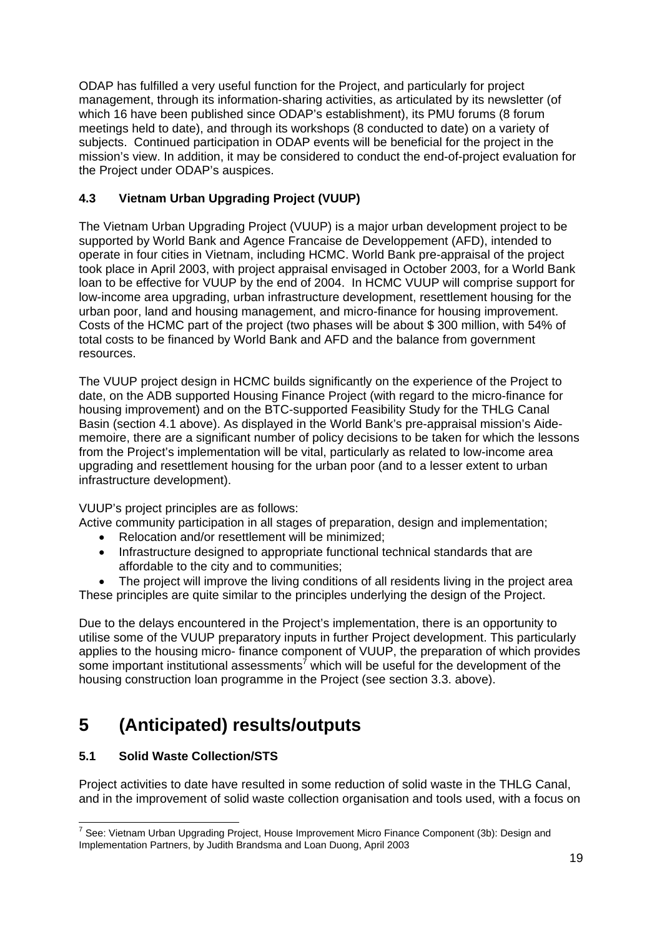<span id="page-19-0"></span>ODAP has fulfilled a very useful function for the Project, and particularly for project management, through its information-sharing activities, as articulated by its newsletter (of which 16 have been published since ODAP's establishment), its PMU forums (8 forum meetings held to date), and through its workshops (8 conducted to date) on a variety of subjects. Continued participation in ODAP events will be beneficial for the project in the mission's view. In addition, it may be considered to conduct the end-of-project evaluation for the Project under ODAP's auspices.

# **4.3 Vietnam Urban Upgrading Project (VUUP)**

The Vietnam Urban Upgrading Project (VUUP) is a major urban development project to be supported by World Bank and Agence Francaise de Developpement (AFD), intended to operate in four cities in Vietnam, including HCMC. World Bank pre-appraisal of the project took place in April 2003, with project appraisal envisaged in October 2003, for a World Bank loan to be effective for VUUP by the end of 2004. In HCMC VUUP will comprise support for low-income area upgrading, urban infrastructure development, resettlement housing for the urban poor, land and housing management, and micro-finance for housing improvement. Costs of the HCMC part of the project (two phases will be about \$ 300 million, with 54% of total costs to be financed by World Bank and AFD and the balance from government resources.

The VUUP project design in HCMC builds significantly on the experience of the Project to date, on the ADB supported Housing Finance Project (with regard to the micro-finance for housing improvement) and on the BTC-supported Feasibility Study for the THLG Canal Basin (section 4.1 above). As displayed in the World Bank's pre-appraisal mission's Aidememoire, there are a significant number of policy decisions to be taken for which the lessons from the Project's implementation will be vital, particularly as related to low-income area upgrading and resettlement housing for the urban poor (and to a lesser extent to urban infrastructure development).

VUUP's project principles are as follows:

- Active community participation in all stages of preparation, design and implementation;
	- Relocation and/or resettlement will be minimized;
	- Infrastructure designed to appropriate functional technical standards that are affordable to the city and to communities;

The project will improve the living conditions of all residents living in the project area These principles are quite similar to the principles underlying the design of the Project.

Due to the delays encountered in the Project's implementation, there is an opportunity to utilise some of the VUUP preparatory inputs in further Project development. This particularly applies to the housing micro- finance component of VUUP, the preparation of which provides some important institutional assessments<sup>[7](#page-19-1)</sup> which will be useful for the development of the housing construction loan programme in the Project (see section 3.3. above).

# **5 (Anticipated) results/outputs**

# **5.1 Solid Waste Collection/STS**

Project activities to date have resulted in some reduction of solid waste in the THLG Canal, and in the improvement of solid waste collection organisation and tools used, with a focus on

<span id="page-19-1"></span> 7 See: Vietnam Urban Upgrading Project, House Improvement Micro Finance Component (3b): Design and Implementation Partners, by Judith Brandsma and Loan Duong, April 2003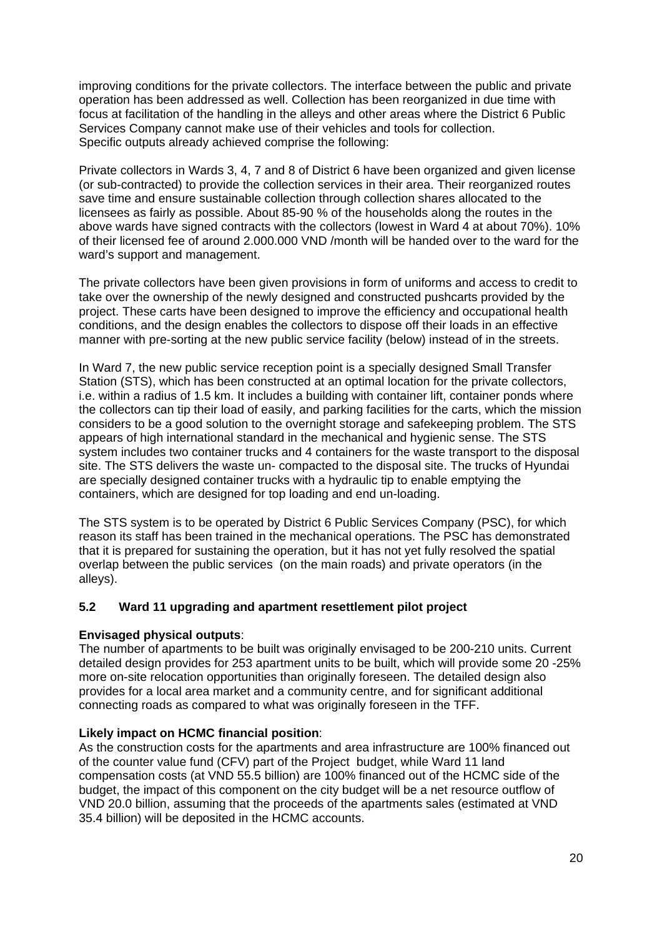<span id="page-20-0"></span>improving conditions for the private collectors. The interface between the public and private operation has been addressed as well. Collection has been reorganized in due time with focus at facilitation of the handling in the alleys and other areas where the District 6 Public Services Company cannot make use of their vehicles and tools for collection. Specific outputs already achieved comprise the following:

Private collectors in Wards 3, 4, 7 and 8 of District 6 have been organized and given license (or sub-contracted) to provide the collection services in their area. Their reorganized routes save time and ensure sustainable collection through collection shares allocated to the licensees as fairly as possible. About 85-90 % of the households along the routes in the above wards have signed contracts with the collectors (lowest in Ward 4 at about 70%). 10% of their licensed fee of around 2.000.000 VND /month will be handed over to the ward for the ward's support and management.

The private collectors have been given provisions in form of uniforms and access to credit to take over the ownership of the newly designed and constructed pushcarts provided by the project. These carts have been designed to improve the efficiency and occupational health conditions, and the design enables the collectors to dispose off their loads in an effective manner with pre-sorting at the new public service facility (below) instead of in the streets.

In Ward 7, the new public service reception point is a specially designed Small Transfer Station (STS), which has been constructed at an optimal location for the private collectors, i.e. within a radius of 1.5 km. It includes a building with container lift, container ponds where the collectors can tip their load of easily, and parking facilities for the carts, which the mission considers to be a good solution to the overnight storage and safekeeping problem. The STS appears of high international standard in the mechanical and hygienic sense. The STS system includes two container trucks and 4 containers for the waste transport to the disposal site. The STS delivers the waste un- compacted to the disposal site. The trucks of Hyundai are specially designed container trucks with a hydraulic tip to enable emptying the containers, which are designed for top loading and end un-loading.

The STS system is to be operated by District 6 Public Services Company (PSC), for which reason its staff has been trained in the mechanical operations. The PSC has demonstrated that it is prepared for sustaining the operation, but it has not yet fully resolved the spatial overlap between the public services (on the main roads) and private operators (in the alleys).

# **5.2 Ward 11 upgrading and apartment resettlement pilot project**

### **Envisaged physical outputs**:

The number of apartments to be built was originally envisaged to be 200-210 units. Current detailed design provides for 253 apartment units to be built, which will provide some 20 -25% more on-site relocation opportunities than originally foreseen. The detailed design also provides for a local area market and a community centre, and for significant additional connecting roads as compared to what was originally foreseen in the TFF.

### **Likely impact on HCMC financial position**:

As the construction costs for the apartments and area infrastructure are 100% financed out of the counter value fund (CFV) part of the Project budget, while Ward 11 land compensation costs (at VND 55.5 billion) are 100% financed out of the HCMC side of the budget, the impact of this component on the city budget will be a net resource outflow of VND 20.0 billion, assuming that the proceeds of the apartments sales (estimated at VND 35.4 billion) will be deposited in the HCMC accounts.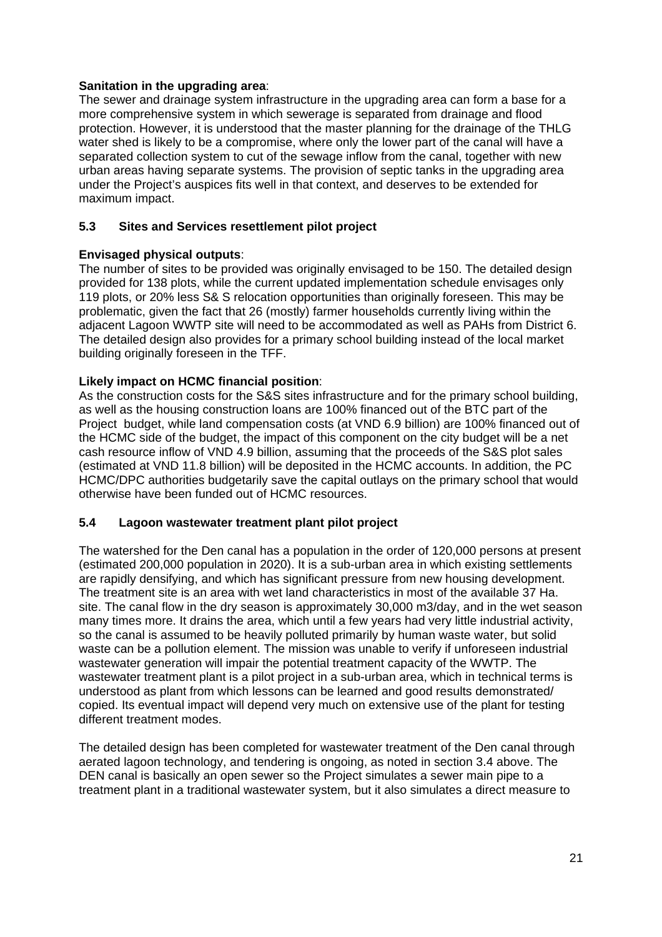# <span id="page-21-0"></span>**Sanitation in the upgrading area**:

The sewer and drainage system infrastructure in the upgrading area can form a base for a more comprehensive system in which sewerage is separated from drainage and flood protection. However, it is understood that the master planning for the drainage of the THLG water shed is likely to be a compromise, where only the lower part of the canal will have a separated collection system to cut of the sewage inflow from the canal, together with new urban areas having separate systems. The provision of septic tanks in the upgrading area under the Project's auspices fits well in that context, and deserves to be extended for maximum impact.

# **5.3 Sites and Services resettlement pilot project**

# **Envisaged physical outputs**:

The number of sites to be provided was originally envisaged to be 150. The detailed design provided for 138 plots, while the current updated implementation schedule envisages only 119 plots, or 20% less S& S relocation opportunities than originally foreseen. This may be problematic, given the fact that 26 (mostly) farmer households currently living within the adjacent Lagoon WWTP site will need to be accommodated as well as PAHs from District 6. The detailed design also provides for a primary school building instead of the local market building originally foreseen in the TFF.

# **Likely impact on HCMC financial position**:

As the construction costs for the S&S sites infrastructure and for the primary school building, as well as the housing construction loans are 100% financed out of the BTC part of the Project budget, while land compensation costs (at VND 6.9 billion) are 100% financed out of the HCMC side of the budget, the impact of this component on the city budget will be a net cash resource inflow of VND 4.9 billion, assuming that the proceeds of the S&S plot sales (estimated at VND 11.8 billion) will be deposited in the HCMC accounts. In addition, the PC HCMC/DPC authorities budgetarily save the capital outlays on the primary school that would otherwise have been funded out of HCMC resources.

### **5.4 Lagoon wastewater treatment plant pilot project**

The watershed for the Den canal has a population in the order of 120,000 persons at present (estimated 200,000 population in 2020). It is a sub-urban area in which existing settlements are rapidly densifying, and which has significant pressure from new housing development. The treatment site is an area with wet land characteristics in most of the available 37 Ha. site. The canal flow in the dry season is approximately 30,000 m3/day, and in the wet season many times more. It drains the area, which until a few years had very little industrial activity, so the canal is assumed to be heavily polluted primarily by human waste water, but solid waste can be a pollution element. The mission was unable to verify if unforeseen industrial wastewater generation will impair the potential treatment capacity of the WWTP. The wastewater treatment plant is a pilot project in a sub-urban area, which in technical terms is understood as plant from which lessons can be learned and good results demonstrated/ copied. Its eventual impact will depend very much on extensive use of the plant for testing different treatment modes.

The detailed design has been completed for wastewater treatment of the Den canal through aerated lagoon technology, and tendering is ongoing, as noted in section 3.4 above. The DEN canal is basically an open sewer so the Project simulates a sewer main pipe to a treatment plant in a traditional wastewater system, but it also simulates a direct measure to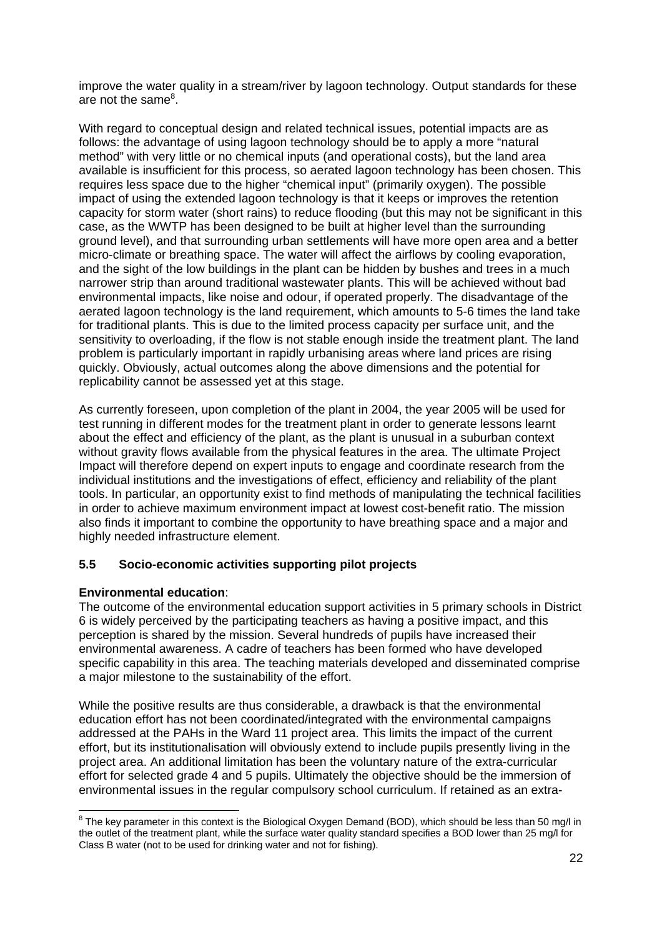<span id="page-22-0"></span>improve the water quality in a stream/river by lagoon technology. Output standards for these are not the same<sup>[8](#page-22-1)</sup>.

With regard to conceptual design and related technical issues, potential impacts are as follows: the advantage of using lagoon technology should be to apply a more "natural method" with very little or no chemical inputs (and operational costs), but the land area available is insufficient for this process, so aerated lagoon technology has been chosen. This requires less space due to the higher "chemical input" (primarily oxygen). The possible impact of using the extended lagoon technology is that it keeps or improves the retention capacity for storm water (short rains) to reduce flooding (but this may not be significant in this case, as the WWTP has been designed to be built at higher level than the surrounding ground level), and that surrounding urban settlements will have more open area and a better micro-climate or breathing space. The water will affect the airflows by cooling evaporation, and the sight of the low buildings in the plant can be hidden by bushes and trees in a much narrower strip than around traditional wastewater plants. This will be achieved without bad environmental impacts, like noise and odour, if operated properly. The disadvantage of the aerated lagoon technology is the land requirement, which amounts to 5-6 times the land take for traditional plants. This is due to the limited process capacity per surface unit, and the sensitivity to overloading, if the flow is not stable enough inside the treatment plant. The land problem is particularly important in rapidly urbanising areas where land prices are rising quickly. Obviously, actual outcomes along the above dimensions and the potential for replicability cannot be assessed yet at this stage.

As currently foreseen, upon completion of the plant in 2004, the year 2005 will be used for test running in different modes for the treatment plant in order to generate lessons learnt about the effect and efficiency of the plant, as the plant is unusual in a suburban context without gravity flows available from the physical features in the area. The ultimate Project Impact will therefore depend on expert inputs to engage and coordinate research from the individual institutions and the investigations of effect, efficiency and reliability of the plant tools. In particular, an opportunity exist to find methods of manipulating the technical facilities in order to achieve maximum environment impact at lowest cost-benefit ratio. The mission also finds it important to combine the opportunity to have breathing space and a major and highly needed infrastructure element.

# **5.5 Socio-economic activities supporting pilot projects**

# **Environmental education**:

The outcome of the environmental education support activities in 5 primary schools in District 6 is widely perceived by the participating teachers as having a positive impact, and this perception is shared by the mission. Several hundreds of pupils have increased their environmental awareness. A cadre of teachers has been formed who have developed specific capability in this area. The teaching materials developed and disseminated comprise a major milestone to the sustainability of the effort.

While the positive results are thus considerable, a drawback is that the environmental education effort has not been coordinated/integrated with the environmental campaigns addressed at the PAHs in the Ward 11 project area. This limits the impact of the current effort, but its institutionalisation will obviously extend to include pupils presently living in the project area. An additional limitation has been the voluntary nature of the extra-curricular effort for selected grade 4 and 5 pupils. Ultimately the objective should be the immersion of environmental issues in the regular compulsory school curriculum. If retained as an extra-

<span id="page-22-1"></span><sup>&</sup>lt;u>edd</u><br>8 The key parameter in this context is the Biological Oxygen Demand (BOD), which should be less than 50 mg/l in the outlet of the treatment plant, while the surface water quality standard specifies a BOD lower than 25 mg/l for Class B water (not to be used for drinking water and not for fishing).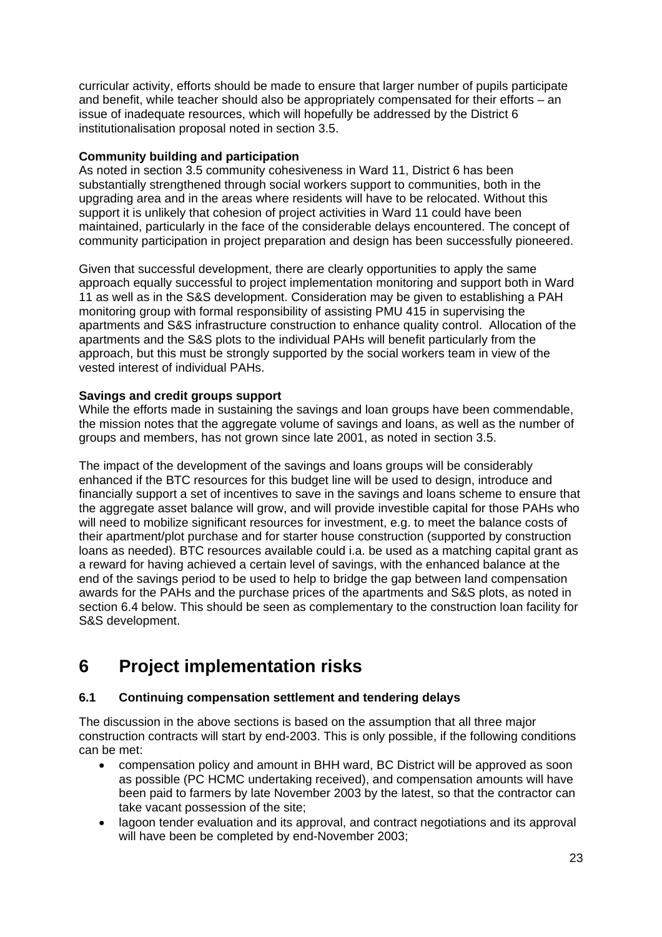<span id="page-23-0"></span>curricular activity, efforts should be made to ensure that larger number of pupils participate and benefit, while teacher should also be appropriately compensated for their efforts – an issue of inadequate resources, which will hopefully be addressed by the District 6 institutionalisation proposal noted in section 3.5.

## **Community building and participation**

As noted in section 3.5 community cohesiveness in Ward 11, District 6 has been substantially strengthened through social workers support to communities, both in the upgrading area and in the areas where residents will have to be relocated. Without this support it is unlikely that cohesion of project activities in Ward 11 could have been maintained, particularly in the face of the considerable delays encountered. The concept of community participation in project preparation and design has been successfully pioneered.

Given that successful development, there are clearly opportunities to apply the same approach equally successful to project implementation monitoring and support both in Ward 11 as well as in the S&S development. Consideration may be given to establishing a PAH monitoring group with formal responsibility of assisting PMU 415 in supervising the apartments and S&S infrastructure construction to enhance quality control. Allocation of the apartments and the S&S plots to the individual PAHs will benefit particularly from the approach, but this must be strongly supported by the social workers team in view of the vested interest of individual PAHs.

# **Savings and credit groups support**

While the efforts made in sustaining the savings and loan groups have been commendable, the mission notes that the aggregate volume of savings and loans, as well as the number of groups and members, has not grown since late 2001, as noted in section 3.5.

The impact of the development of the savings and loans groups will be considerably enhanced if the BTC resources for this budget line will be used to design, introduce and financially support a set of incentives to save in the savings and loans scheme to ensure that the aggregate asset balance will grow, and will provide investible capital for those PAHs who will need to mobilize significant resources for investment, e.g. to meet the balance costs of their apartment/plot purchase and for starter house construction (supported by construction loans as needed). BTC resources available could i.a. be used as a matching capital grant as a reward for having achieved a certain level of savings, with the enhanced balance at the end of the savings period to be used to help to bridge the gap between land compensation awards for the PAHs and the purchase prices of the apartments and S&S plots, as noted in section 6.4 below. This should be seen as complementary to the construction loan facility for S&S development.

# **6 Project implementation risks**

# **6.1 Continuing compensation settlement and tendering delays**

The discussion in the above sections is based on the assumption that all three major construction contracts will start by end-2003. This is only possible, if the following conditions can be met:

- compensation policy and amount in BHH ward, BC District will be approved as soon as possible (PC HCMC undertaking received), and compensation amounts will have been paid to farmers by late November 2003 by the latest, so that the contractor can take vacant possession of the site;
- lagoon tender evaluation and its approval, and contract negotiations and its approval will have been be completed by end-November 2003;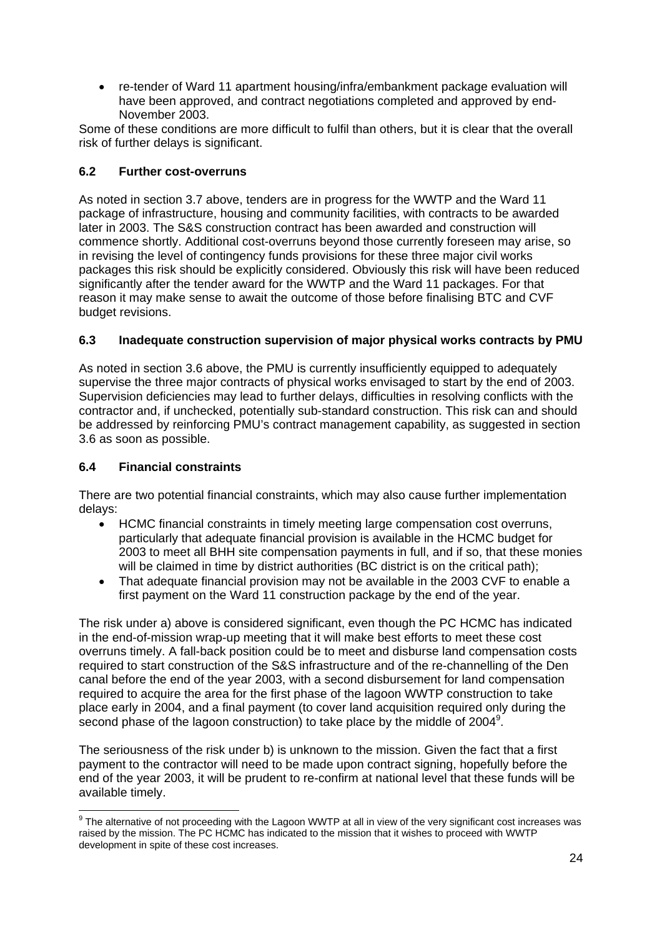<span id="page-24-0"></span>• re-tender of Ward 11 apartment housing/infra/embankment package evaluation will have been approved, and contract negotiations completed and approved by end-November 2003.

Some of these conditions are more difficult to fulfil than others, but it is clear that the overall risk of further delays is significant.

# **6.2 Further cost-overruns**

As noted in section 3.7 above, tenders are in progress for the WWTP and the Ward 11 package of infrastructure, housing and community facilities, with contracts to be awarded later in 2003. The S&S construction contract has been awarded and construction will commence shortly. Additional cost-overruns beyond those currently foreseen may arise, so in revising the level of contingency funds provisions for these three major civil works packages this risk should be explicitly considered. Obviously this risk will have been reduced significantly after the tender award for the WWTP and the Ward 11 packages. For that reason it may make sense to await the outcome of those before finalising BTC and CVF budget revisions.

# **6.3 Inadequate construction supervision of major physical works contracts by PMU**

As noted in section 3.6 above, the PMU is currently insufficiently equipped to adequately supervise the three major contracts of physical works envisaged to start by the end of 2003. Supervision deficiencies may lead to further delays, difficulties in resolving conflicts with the contractor and, if unchecked, potentially sub-standard construction. This risk can and should be addressed by reinforcing PMU's contract management capability, as suggested in section 3.6 as soon as possible.

# **6.4 Financial constraints**

There are two potential financial constraints, which may also cause further implementation delays:

- HCMC financial constraints in timely meeting large compensation cost overruns, particularly that adequate financial provision is available in the HCMC budget for 2003 to meet all BHH site compensation payments in full, and if so, that these monies will be claimed in time by district authorities (BC district is on the critical path);
- That adequate financial provision may not be available in the 2003 CVF to enable a first payment on the Ward 11 construction package by the end of the year.

The risk under a) above is considered significant, even though the PC HCMC has indicated in the end-of-mission wrap-up meeting that it will make best efforts to meet these cost overruns timely. A fall-back position could be to meet and disburse land compensation costs required to start construction of the S&S infrastructure and of the re-channelling of the Den canal before the end of the year 2003, with a second disbursement for land compensation required to acquire the area for the first phase of the lagoon WWTP construction to take place early in 2004, and a final payment (to cover land acquisition required only during the second phase of the lagoon construction) to take place by the middle of 2004 $9$ .

The seriousness of the risk under b) is unknown to the mission. Given the fact that a first payment to the contractor will need to be made upon contract signing, hopefully before the end of the year 2003, it will be prudent to re-confirm at national level that these funds will be available timely.

<span id="page-24-1"></span> 9 The alternative of not proceeding with the Lagoon WWTP at all in view of the very significant cost increases was raised by the mission. The PC HCMC has indicated to the mission that it wishes to proceed with WWTP development in spite of these cost increases.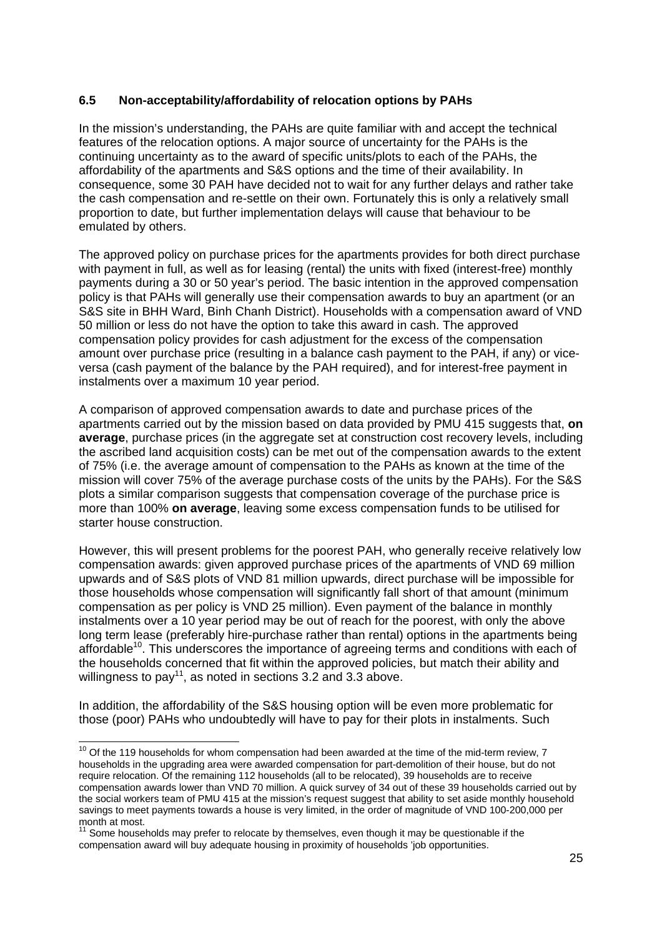## <span id="page-25-0"></span>**6.5 Non-acceptability/affordability of relocation options by PAHs**

In the mission's understanding, the PAHs are quite familiar with and accept the technical features of the relocation options. A major source of uncertainty for the PAHs is the continuing uncertainty as to the award of specific units/plots to each of the PAHs, the affordability of the apartments and S&S options and the time of their availability. In consequence, some 30 PAH have decided not to wait for any further delays and rather take the cash compensation and re-settle on their own. Fortunately this is only a relatively small proportion to date, but further implementation delays will cause that behaviour to be emulated by others.

The approved policy on purchase prices for the apartments provides for both direct purchase with payment in full, as well as for leasing (rental) the units with fixed (interest-free) monthly payments during a 30 or 50 year's period. The basic intention in the approved compensation policy is that PAHs will generally use their compensation awards to buy an apartment (or an S&S site in BHH Ward, Binh Chanh District). Households with a compensation award of VND 50 million or less do not have the option to take this award in cash. The approved compensation policy provides for cash adjustment for the excess of the compensation amount over purchase price (resulting in a balance cash payment to the PAH, if any) or viceversa (cash payment of the balance by the PAH required), and for interest-free payment in instalments over a maximum 10 year period.

A comparison of approved compensation awards to date and purchase prices of the apartments carried out by the mission based on data provided by PMU 415 suggests that, **on average**, purchase prices (in the aggregate set at construction cost recovery levels, including the ascribed land acquisition costs) can be met out of the compensation awards to the extent of 75% (i.e. the average amount of compensation to the PAHs as known at the time of the mission will cover 75% of the average purchase costs of the units by the PAHs). For the S&S plots a similar comparison suggests that compensation coverage of the purchase price is more than 100% **on average**, leaving some excess compensation funds to be utilised for starter house construction.

However, this will present problems for the poorest PAH, who generally receive relatively low compensation awards: given approved purchase prices of the apartments of VND 69 million upwards and of S&S plots of VND 81 million upwards, direct purchase will be impossible for those households whose compensation will significantly fall short of that amount (minimum compensation as per policy is VND 25 million). Even payment of the balance in monthly instalments over a 10 year period may be out of reach for the poorest, with only the above long term lease (preferably hire-purchase rather than rental) options in the apartments being affordable<sup>10</sup>. This underscores the importance of agreeing terms and conditions with each of the households concerned that fit within the approved policies, but match their ability and willingness to pay<sup>11</sup>, as noted in sections  $3.2$  and  $3.3$  above.

In addition, the affordability of the S&S housing option will be even more problematic for those (poor) PAHs who undoubtedly will have to pay for their plots in instalments. Such

<span id="page-25-1"></span> $10$  Of the 119 households for whom compensation had been awarded at the time of the mid-term review, 7 households in the upgrading area were awarded compensation for part-demolition of their house, but do not require relocation. Of the remaining 112 households (all to be relocated), 39 households are to receive compensation awards lower than VND 70 million. A quick survey of 34 out of these 39 households carried out by the social workers team of PMU 415 at the mission's request suggest that ability to set aside monthly household savings to meet payments towards a house is very limited, in the order of magnitude of VND 100-200,000 per month at most.

<span id="page-25-2"></span><sup>11</sup> Some households may prefer to relocate by themselves, even though it may be questionable if the compensation award will buy adequate housing in proximity of households 'job opportunities.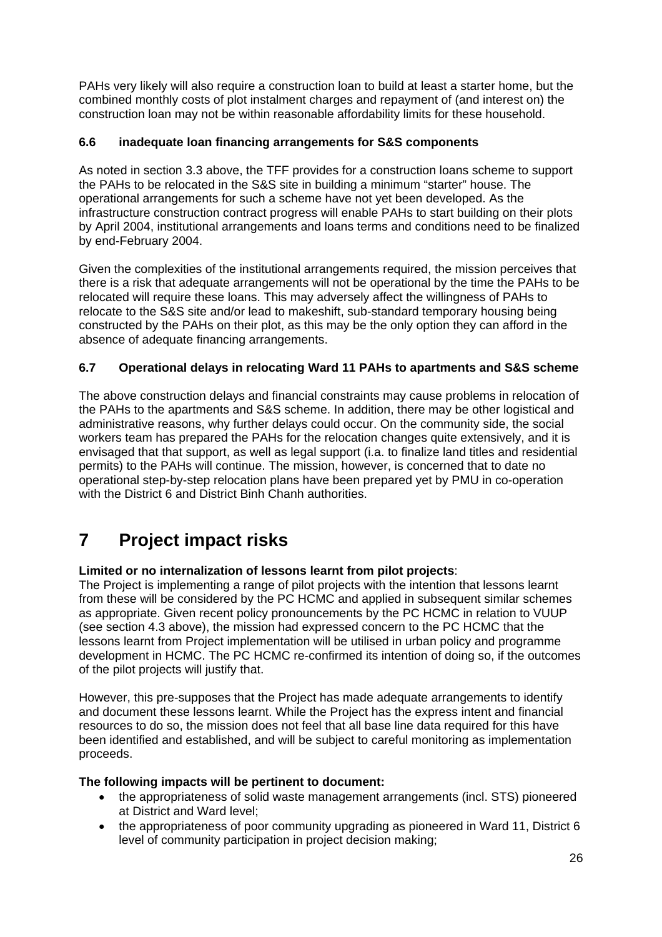<span id="page-26-0"></span>PAHs very likely will also require a construction loan to build at least a starter home, but the combined monthly costs of plot instalment charges and repayment of (and interest on) the construction loan may not be within reasonable affordability limits for these household.

# **6.6 inadequate loan financing arrangements for S&S components**

As noted in section 3.3 above, the TFF provides for a construction loans scheme to support the PAHs to be relocated in the S&S site in building a minimum "starter" house. The operational arrangements for such a scheme have not yet been developed. As the infrastructure construction contract progress will enable PAHs to start building on their plots by April 2004, institutional arrangements and loans terms and conditions need to be finalized by end-February 2004.

Given the complexities of the institutional arrangements required, the mission perceives that there is a risk that adequate arrangements will not be operational by the time the PAHs to be relocated will require these loans. This may adversely affect the willingness of PAHs to relocate to the S&S site and/or lead to makeshift, sub-standard temporary housing being constructed by the PAHs on their plot, as this may be the only option they can afford in the absence of adequate financing arrangements.

# **6.7 Operational delays in relocating Ward 11 PAHs to apartments and S&S scheme**

The above construction delays and financial constraints may cause problems in relocation of the PAHs to the apartments and S&S scheme. In addition, there may be other logistical and administrative reasons, why further delays could occur. On the community side, the social workers team has prepared the PAHs for the relocation changes quite extensively, and it is envisaged that that support, as well as legal support (i.a. to finalize land titles and residential permits) to the PAHs will continue. The mission, however, is concerned that to date no operational step-by-step relocation plans have been prepared yet by PMU in co-operation with the District 6 and District Binh Chanh authorities.

# **7 Project impact risks**

### **Limited or no internalization of lessons learnt from pilot projects**:

The Project is implementing a range of pilot projects with the intention that lessons learnt from these will be considered by the PC HCMC and applied in subsequent similar schemes as appropriate. Given recent policy pronouncements by the PC HCMC in relation to VUUP (see section 4.3 above), the mission had expressed concern to the PC HCMC that the lessons learnt from Project implementation will be utilised in urban policy and programme development in HCMC. The PC HCMC re-confirmed its intention of doing so, if the outcomes of the pilot projects will justify that.

However, this pre-supposes that the Project has made adequate arrangements to identify and document these lessons learnt. While the Project has the express intent and financial resources to do so, the mission does not feel that all base line data required for this have been identified and established, and will be subject to careful monitoring as implementation proceeds.

### **The following impacts will be pertinent to document:**

- the appropriateness of solid waste management arrangements (incl. STS) pioneered at District and Ward level;
- the appropriateness of poor community upgrading as pioneered in Ward 11, District 6 level of community participation in project decision making;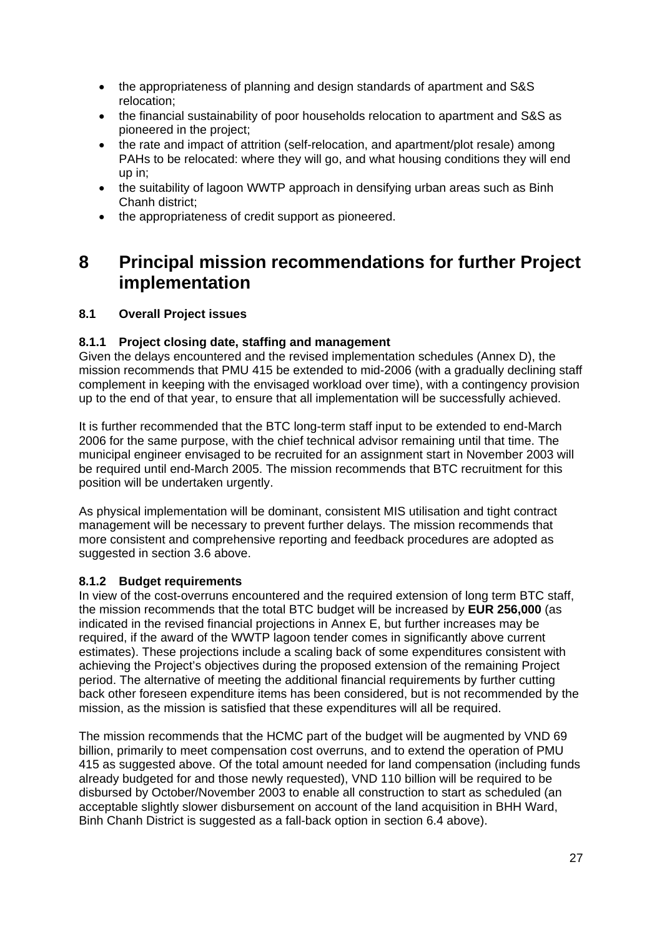- <span id="page-27-0"></span>• the appropriateness of planning and design standards of apartment and S&S relocation;
- the financial sustainability of poor households relocation to apartment and S&S as pioneered in the project;
- the rate and impact of attrition (self-relocation, and apartment/plot resale) among PAHs to be relocated: where they will go, and what housing conditions they will end up in;
- the suitability of lagoon WWTP approach in densifying urban areas such as Binh Chanh district;
- the appropriateness of credit support as pioneered.

# **8 Principal mission recommendations for further Project implementation**

# **8.1 Overall Project issues**

# **8.1.1 Project closing date, staffing and management**

Given the delays encountered and the revised implementation schedules (Annex D), the mission recommends that PMU 415 be extended to mid-2006 (with a gradually declining staff complement in keeping with the envisaged workload over time), with a contingency provision up to the end of that year, to ensure that all implementation will be successfully achieved.

It is further recommended that the BTC long-term staff input to be extended to end-March 2006 for the same purpose, with the chief technical advisor remaining until that time. The municipal engineer envisaged to be recruited for an assignment start in November 2003 will be required until end-March 2005. The mission recommends that BTC recruitment for this position will be undertaken urgently.

As physical implementation will be dominant, consistent MIS utilisation and tight contract management will be necessary to prevent further delays. The mission recommends that more consistent and comprehensive reporting and feedback procedures are adopted as suggested in section 3.6 above.

### **8.1.2 Budget requirements**

In view of the cost-overruns encountered and the required extension of long term BTC staff, the mission recommends that the total BTC budget will be increased by **EUR 256,000** (as indicated in the revised financial projections in Annex E, but further increases may be required, if the award of the WWTP lagoon tender comes in significantly above current estimates). These projections include a scaling back of some expenditures consistent with achieving the Project's objectives during the proposed extension of the remaining Project period. The alternative of meeting the additional financial requirements by further cutting back other foreseen expenditure items has been considered, but is not recommended by the mission, as the mission is satisfied that these expenditures will all be required.

The mission recommends that the HCMC part of the budget will be augmented by VND 69 billion, primarily to meet compensation cost overruns, and to extend the operation of PMU 415 as suggested above. Of the total amount needed for land compensation (including funds already budgeted for and those newly requested), VND 110 billion will be required to be disbursed by October/November 2003 to enable all construction to start as scheduled (an acceptable slightly slower disbursement on account of the land acquisition in BHH Ward, Binh Chanh District is suggested as a fall-back option in section 6.4 above).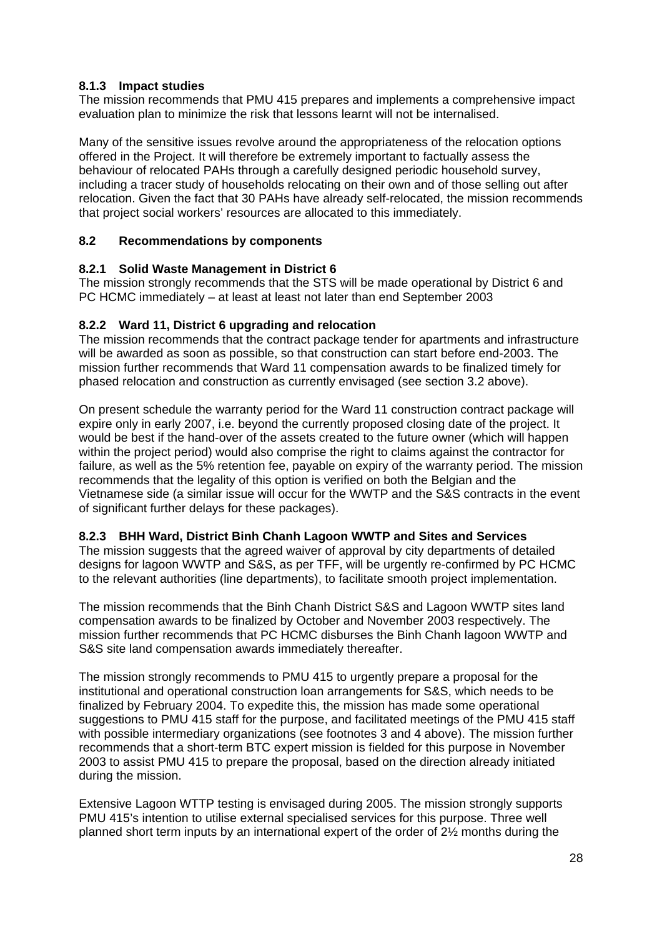# <span id="page-28-0"></span>**8.1.3 Impact studies**

The mission recommends that PMU 415 prepares and implements a comprehensive impact evaluation plan to minimize the risk that lessons learnt will not be internalised.

Many of the sensitive issues revolve around the appropriateness of the relocation options offered in the Project. It will therefore be extremely important to factually assess the behaviour of relocated PAHs through a carefully designed periodic household survey, including a tracer study of households relocating on their own and of those selling out after relocation. Given the fact that 30 PAHs have already self-relocated, the mission recommends that project social workers' resources are allocated to this immediately.

# **8.2 Recommendations by components**

### **8.2.1 Solid Waste Management in District 6**

The mission strongly recommends that the STS will be made operational by District 6 and PC HCMC immediately – at least at least not later than end September 2003

# **8.2.2 Ward 11, District 6 upgrading and relocation**

The mission recommends that the contract package tender for apartments and infrastructure will be awarded as soon as possible, so that construction can start before end-2003. The mission further recommends that Ward 11 compensation awards to be finalized timely for phased relocation and construction as currently envisaged (see section 3.2 above).

On present schedule the warranty period for the Ward 11 construction contract package will expire only in early 2007, i.e. beyond the currently proposed closing date of the project. It would be best if the hand-over of the assets created to the future owner (which will happen within the project period) would also comprise the right to claims against the contractor for failure, as well as the 5% retention fee, payable on expiry of the warranty period. The mission recommends that the legality of this option is verified on both the Belgian and the Vietnamese side (a similar issue will occur for the WWTP and the S&S contracts in the event of significant further delays for these packages).

# **8.2.3 BHH Ward, District Binh Chanh Lagoon WWTP and Sites and Services**

The mission suggests that the agreed waiver of approval by city departments of detailed designs for lagoon WWTP and S&S, as per TFF, will be urgently re-confirmed by PC HCMC to the relevant authorities (line departments), to facilitate smooth project implementation.

The mission recommends that the Binh Chanh District S&S and Lagoon WWTP sites land compensation awards to be finalized by October and November 2003 respectively. The mission further recommends that PC HCMC disburses the Binh Chanh lagoon WWTP and S&S site land compensation awards immediately thereafter.

The mission strongly recommends to PMU 415 to urgently prepare a proposal for the institutional and operational construction loan arrangements for S&S, which needs to be finalized by February 2004. To expedite this, the mission has made some operational suggestions to PMU 415 staff for the purpose, and facilitated meetings of the PMU 415 staff with possible intermediary organizations (see footnotes 3 and 4 above). The mission further recommends that a short-term BTC expert mission is fielded for this purpose in November 2003 to assist PMU 415 to prepare the proposal, based on the direction already initiated during the mission.

Extensive Lagoon WTTP testing is envisaged during 2005. The mission strongly supports PMU 415's intention to utilise external specialised services for this purpose. Three well planned short term inputs by an international expert of the order of 2½ months during the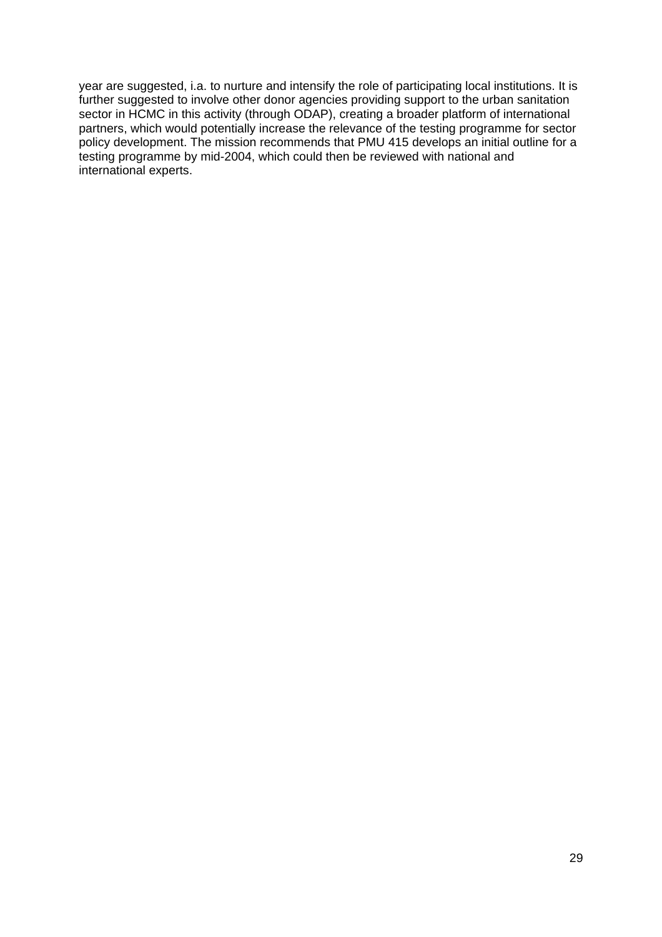year are suggested, i.a. to nurture and intensify the role of participating local institutions. It is further suggested to involve other donor agencies providing support to the urban sanitation sector in HCMC in this activity (through ODAP), creating a broader platform of international partners, which would potentially increase the relevance of the testing programme for sector policy development. The mission recommends that PMU 415 develops an initial outline for a testing programme by mid-2004, which could then be reviewed with national and international experts.